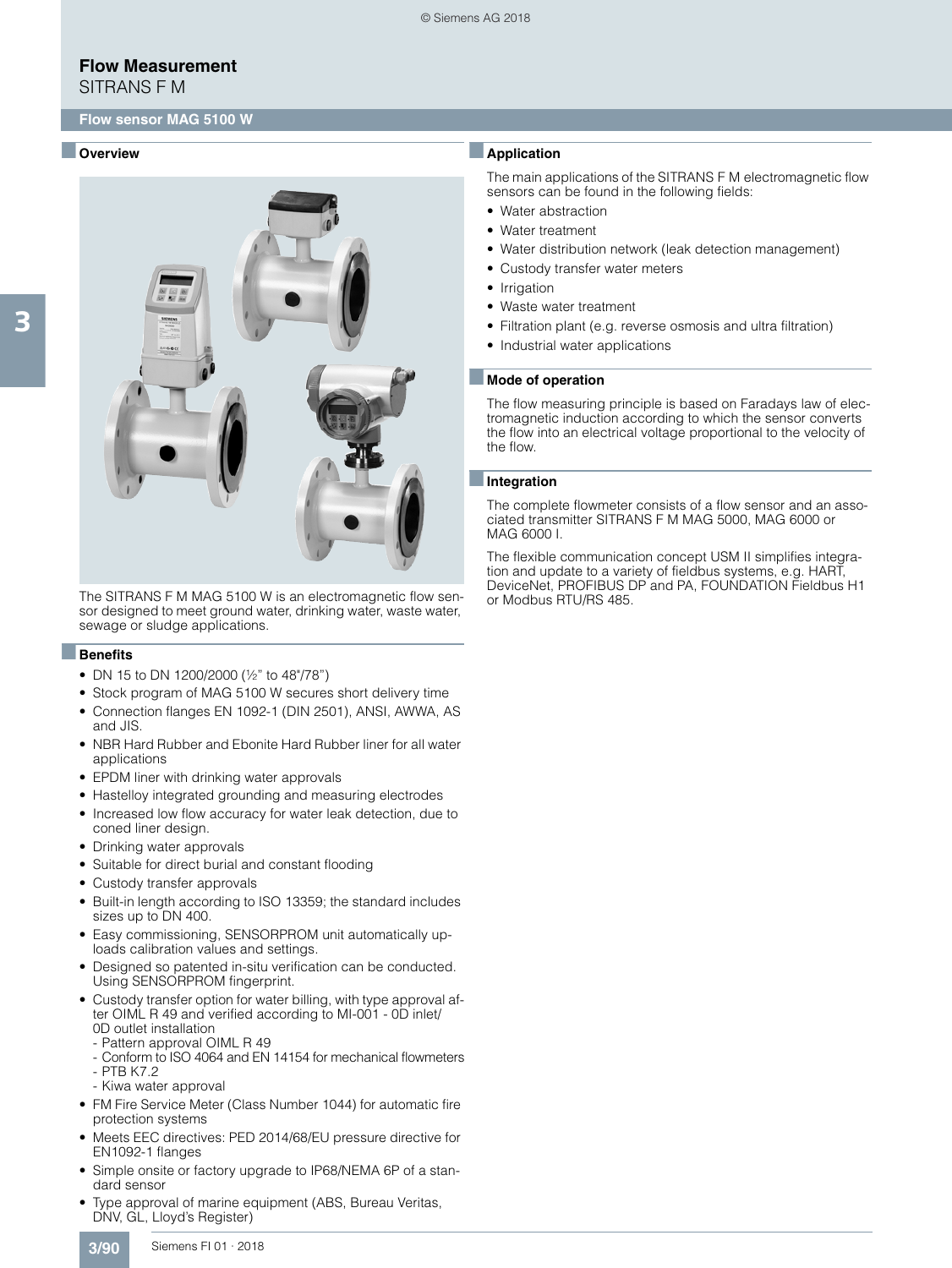SITRANS F M

## ■ **Overview**



The SITRANS F M MAG 5100 W is an electromagnetic flow sensor designed to meet ground water, drinking water, waste water, sewage or sludge applications.

#### ■**Benefits**

- DN 15 to DN 1200/2000 (½" to 48"/78")
- Stock program of MAG 5100 W secures short delivery time
- Connection flanges EN 1092-1 (DIN 2501), ANSI, AWWA, AS and JIS.
- NBR Hard Rubber and Ebonite Hard Rubber liner for all water applications
- EPDM liner with drinking water approvals
- Hastelloy integrated grounding and measuring electrodes
- Increased low flow accuracy for water leak detection, due to coned liner design.
- Drinking water approvals
- Suitable for direct burial and constant flooding
- Custody transfer approvals
- Built-in length according to ISO 13359; the standard includes sizes up to DN 400.
- Easy commissioning, SENSORPROM unit automatically uploads calibration values and settings.
- Designed so patented in-situ verification can be conducted. Using SENSORPROM fingerprint.
- Custody transfer option for water billing, with type approval after OIML R 49 and verified according to MI-001 - 0D inlet/ 0D outlet installation
	- Pattern approval OIML R 49
	- Conform to ISO 4064 and EN 14154 for mechanical flowmeters - PTB K7.2
- Kiwa water approval
- FM Fire Service Meter (Class Number 1044) for automatic fire protection systems
- Meets EEC directives: PED 2014/68/EU pressure directive for EN1092-1 flanges
- Simple onsite or factory upgrade to IP68/NEMA 6P of a standard sensor
- Type approval of marine equipment (ABS, Bureau Veritas, DNV, GL, Lloyd's Register)

## ■**Application**

The main applications of the SITRANS F M electromagnetic flow sensors can be found in the following fields:

- Water abstraction
- Water treatment
- Water distribution network (leak detection management)
- Custody transfer water meters
- Irrigation
- Waste water treatment
- Filtration plant (e.g. reverse osmosis and ultra filtration)
- Industrial water applications

#### ■ **Mode of operation**

The flow measuring principle is based on Faradays law of electromagnetic induction according to which the sensor converts the flow into an electrical voltage proportional to the velocity of the flow.

#### ■**Integration**

The complete flowmeter consists of a flow sensor and an associated transmitter SITRANS F M MAG 5000, MAG 6000 or MAG 6000 I.

The flexible communication concept USM II simplifies integration and update to a variety of fieldbus systems, e.g. HART, DeviceNet, PROFIBUS DP and PA, FOUNDATION Fieldbus H1 or Modbus RTU/RS 485.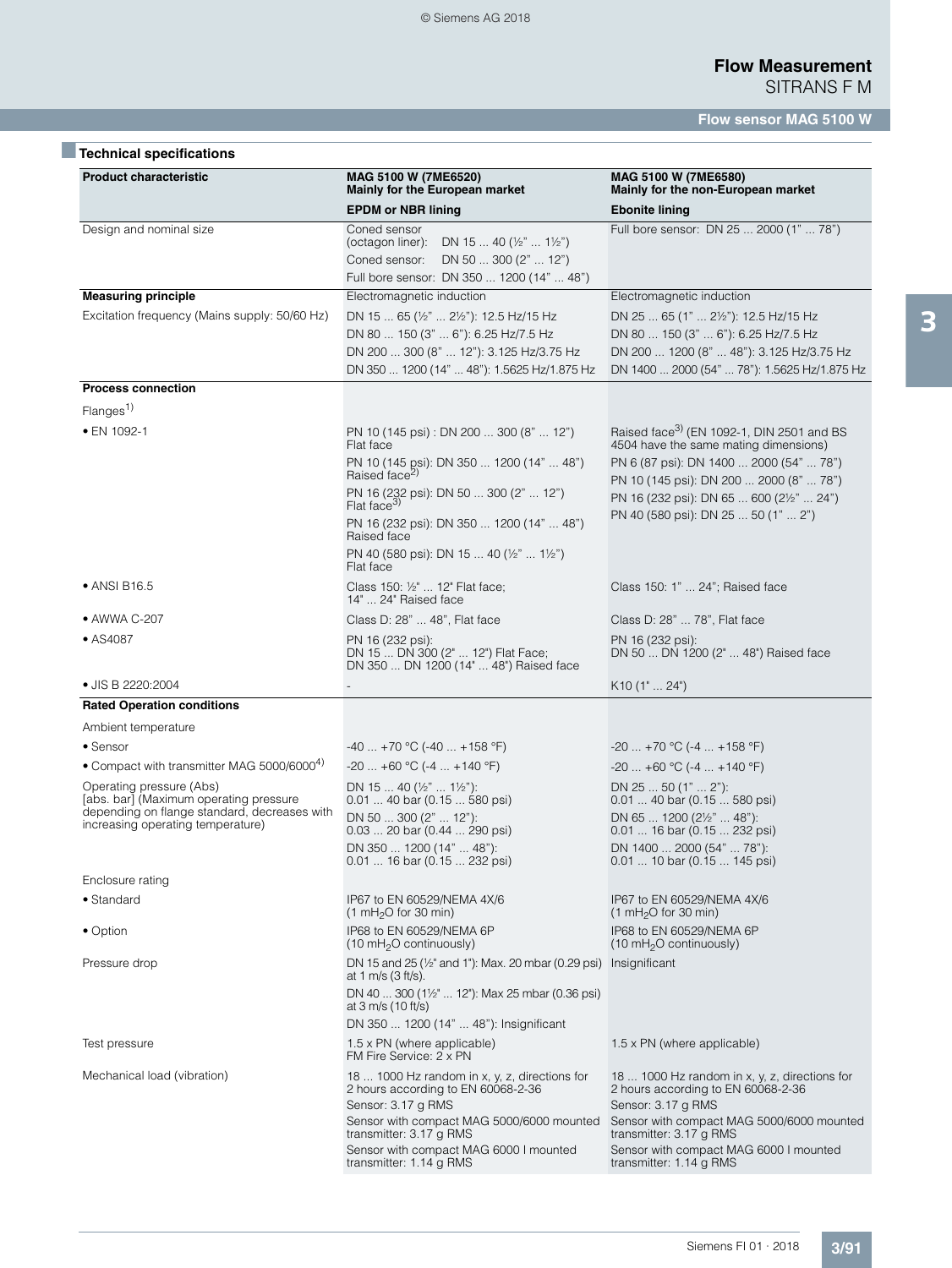# ■**Technical specifications**

| <b>Product characteristic</b>                                                                                                                           | MAG 5100 W (7ME6520)<br>Mainly for the European market                                                                                                                                                                                                                                                                                        | MAG 5100 W (7ME6580)<br>Mainly for the non-European market                                                                                                                                                                                                              |
|---------------------------------------------------------------------------------------------------------------------------------------------------------|-----------------------------------------------------------------------------------------------------------------------------------------------------------------------------------------------------------------------------------------------------------------------------------------------------------------------------------------------|-------------------------------------------------------------------------------------------------------------------------------------------------------------------------------------------------------------------------------------------------------------------------|
|                                                                                                                                                         | <b>EPDM or NBR lining</b>                                                                                                                                                                                                                                                                                                                     | <b>Ebonite lining</b>                                                                                                                                                                                                                                                   |
| Design and nominal size                                                                                                                                 | Coned sensor<br>DN 15  40 ( $\frac{1}{2}$ "  1 $\frac{1}{2}$ ")<br>(octagon liner):<br>DN 50  300 (2"  12")<br>Coned sensor:<br>Full bore sensor: DN 350  1200 (14"  48")                                                                                                                                                                     | Full bore sensor: DN 25  2000 (1"  78")                                                                                                                                                                                                                                 |
| <b>Measuring principle</b>                                                                                                                              | Electromagnetic induction                                                                                                                                                                                                                                                                                                                     | Electromagnetic induction                                                                                                                                                                                                                                               |
| Excitation frequency (Mains supply: 50/60 Hz)                                                                                                           | DN 15  65 (1/2"  21/2"): 12.5 Hz/15 Hz<br>DN 80  150 (3"  6"): 6.25 Hz/7.5 Hz<br>DN 200  300 (8"  12"): 3.125 Hz/3.75 Hz<br>DN 350  1200 (14"  48"): 1.5625 Hz/1.875 Hz                                                                                                                                                                       | DN 25  65 (1"  21/2"): 12.5 Hz/15 Hz<br>DN 80  150 (3"  6"): 6.25 Hz/7.5 Hz<br>DN 200  1200 (8"  48"): 3.125 Hz/3.75 Hz<br>DN 1400  2000 (54"  78"): 1.5625 Hz/1.875 Hz                                                                                                 |
| <b>Process connection</b>                                                                                                                               |                                                                                                                                                                                                                                                                                                                                               |                                                                                                                                                                                                                                                                         |
| Flanges <sup>1</sup>                                                                                                                                    |                                                                                                                                                                                                                                                                                                                                               |                                                                                                                                                                                                                                                                         |
| • EN 1092-1                                                                                                                                             | PN 10 (145 psi) : DN 200  300 (8"  12")<br>Flat face<br>PN 10 (145 psi): DN 350  1200 (14"  48")<br>Raised face <sup>2)</sup><br>PN 16 (232 psi): DN 50  300 (2"  12")<br>Flat face <sup>3)</sup><br>PN 16 (232 psi): DN 350  1200 (14"  48")<br>Raised face<br>PN 40 (580 psi): DN 15  40 ( $\frac{1}{2}$ "  1 $\frac{1}{2}$ ")<br>Flat face | Raised face <sup>3)</sup> (EN 1092-1, DIN 2501 and BS<br>4504 have the same mating dimensions)<br>PN 6 (87 psi): DN 1400  2000 (54"  78")<br>PN 10 (145 psi): DN 200  2000 (8"  78")<br>PN 16 (232 psi): DN 65  600 (21/2"  24")<br>PN 40 (580 psi): DN 25  50 (1"  2") |
| • ANSI B16.5                                                                                                                                            | Class 150: 1/2"  12" Flat face;<br>14"  24" Raised face                                                                                                                                                                                                                                                                                       | Class 150: 1"  24"; Raised face                                                                                                                                                                                                                                         |
| • AWWA C-207                                                                                                                                            | Class D: 28"  48", Flat face                                                                                                                                                                                                                                                                                                                  | Class D: 28"  78", Flat face                                                                                                                                                                                                                                            |
| • AS4087                                                                                                                                                | PN 16 (232 psi):<br>DN 15  DN 300 (2"  12") Flat Face;<br>DN 350  DN 1200 (14"  48") Raised face                                                                                                                                                                                                                                              | PN 16 (232 psi):<br>DN 50  DN 1200 (2"  48") Raised face                                                                                                                                                                                                                |
| • JIS B 2220:2004                                                                                                                                       |                                                                                                                                                                                                                                                                                                                                               | K10(1" 24")                                                                                                                                                                                                                                                             |
| <b>Rated Operation conditions</b>                                                                                                                       |                                                                                                                                                                                                                                                                                                                                               |                                                                                                                                                                                                                                                                         |
| Ambient temperature                                                                                                                                     |                                                                                                                                                                                                                                                                                                                                               |                                                                                                                                                                                                                                                                         |
| • Sensor                                                                                                                                                | $-40$ +70 °C (-40  +158 °F)                                                                                                                                                                                                                                                                                                                   | $-20$ +70 °C (-4  +158 °F)                                                                                                                                                                                                                                              |
| • Compact with transmitter MAG 5000/6000 <sup>4)</sup>                                                                                                  | $-20+60$ °C ( $-4+140$ °F)                                                                                                                                                                                                                                                                                                                    | $-20$ $+60$ °C ( $-4$ $+140$ °F)                                                                                                                                                                                                                                        |
| Operating pressure (Abs)<br>[abs. bar] (Maximum operating pressure<br>depending on flange standard, decreases with<br>increasing operating temperature) | DN 15  40 (½"  1½"):<br>0.01  40 bar (0.15  580 psi)<br>DN 50  300 (2"  12"):<br>$0.03$ 20 bar $(0.44$ 290 psi)<br>DN 350  1200 (14"  48"):<br>$0.01$ 16 bar (0.15  232 psi)                                                                                                                                                                  | DN $2550(1"2")$ :<br>0.01  40 bar (0.15  580 psi)<br>DN 65  1200 (2½"  48"):<br>$0.01$ 16 bar (0.15  232 psi)<br>DN 1400  2000 (54"  78"):<br>0.01  10 bar (0.15  145 psi)                                                                                              |
| Enclosure rating                                                                                                                                        |                                                                                                                                                                                                                                                                                                                                               |                                                                                                                                                                                                                                                                         |
| • Standard                                                                                                                                              | IP67 to EN 60529/NEMA 4X/6<br>(1 mH <sub>2</sub> O for 30 min)                                                                                                                                                                                                                                                                                | IP67 to EN 60529/NEMA 4X/6<br>$(1 \text{ mH}_2O \text{ for } 30 \text{ min})$                                                                                                                                                                                           |
| • Option                                                                                                                                                | IP68 to EN 60529/NEMA 6P<br>(10 mH <sub>2</sub> O continuously)                                                                                                                                                                                                                                                                               | IP68 to EN 60529/NEMA 6P<br>(10 mH <sub>2</sub> O continuously)                                                                                                                                                                                                         |
| Pressure drop                                                                                                                                           | DN 15 and 25 (1/2" and 1"): Max. 20 mbar (0.29 psi) Insignificant<br>at 1 m/s (3 ft/s).<br>DN 40  300 (1½"  12"): Max 25 mbar (0.36 psi)<br>at 3 m/s (10 ft/s)<br>DN 350  1200 (14"  48"): Insignificant                                                                                                                                      |                                                                                                                                                                                                                                                                         |
| Test pressure                                                                                                                                           | $1.5 \times PN$ (where applicable)<br>FM Fire Service: 2 x PN                                                                                                                                                                                                                                                                                 | $1.5 \times PN$ (where applicable)                                                                                                                                                                                                                                      |
| Mechanical load (vibration)                                                                                                                             | 18  1000 Hz random in x, y, z, directions for<br>2 hours according to EN 60068-2-36<br>Sensor: 3.17 g RMS                                                                                                                                                                                                                                     | 18  1000 Hz random in x, y, z, directions for<br>2 hours according to EN 60068-2-36<br>Sensor: 3.17 g RMS                                                                                                                                                               |
|                                                                                                                                                         | Sensor with compact MAG 5000/6000 mounted<br>transmitter: 3.17 g RMS<br>Sensor with compact MAG 6000 I mounted                                                                                                                                                                                                                                | Sensor with compact MAG 5000/6000 mounted<br>transmitter: 3.17 g RMS<br>Sensor with compact MAG 6000 I mounted                                                                                                                                                          |
|                                                                                                                                                         | transmitter: 1.14 g RMS                                                                                                                                                                                                                                                                                                                       | transmitter: 1.14 g RMS                                                                                                                                                                                                                                                 |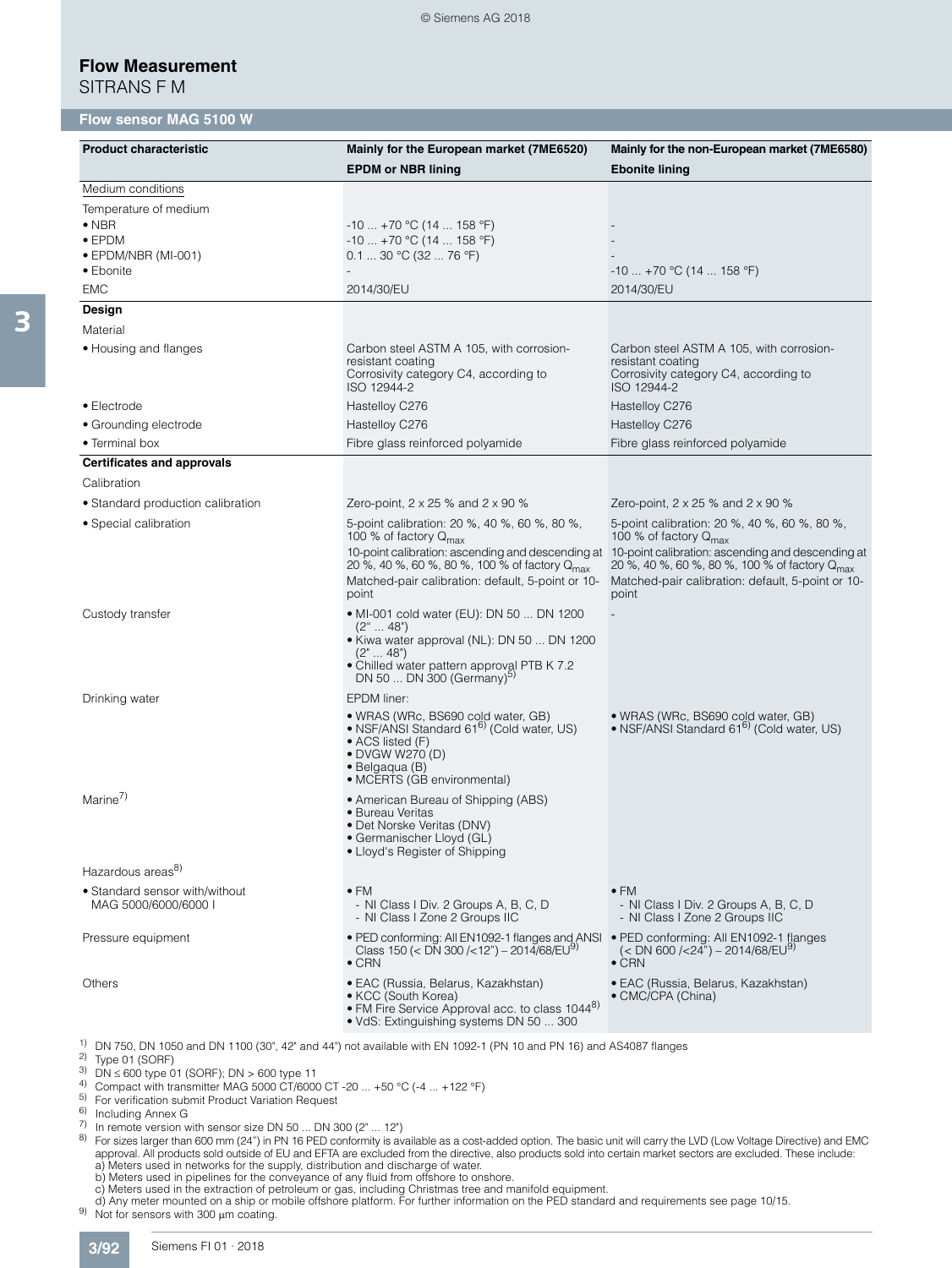SITRANS F M

3

### **Flow sensor MAG 5100 W**

| <b>Product characteristic</b>                                                                        | Mainly for the European market (7ME6520)<br><b>EPDM or NBR lining</b>                                                                                                                                                                                             | Mainly for the non-European market (7ME6580)<br><b>Ebonite lining</b>                                                                                                                                                                                             |
|------------------------------------------------------------------------------------------------------|-------------------------------------------------------------------------------------------------------------------------------------------------------------------------------------------------------------------------------------------------------------------|-------------------------------------------------------------------------------------------------------------------------------------------------------------------------------------------------------------------------------------------------------------------|
| Medium conditions                                                                                    |                                                                                                                                                                                                                                                                   |                                                                                                                                                                                                                                                                   |
| Temperature of medium<br>$\bullet$ NBR<br>$\bullet$ EPDM<br>$\bullet$ EPDM/NBR (MI-001)<br>• Ebonite | $-10$ +70 °C (14  158 °F)<br>$-10$ +70 °C (14  158 °F)<br>0.130 °C (3276 °F)                                                                                                                                                                                      | $-10 + 70$ °C (14  158 °F)                                                                                                                                                                                                                                        |
| <b>EMC</b>                                                                                           | 2014/30/EU                                                                                                                                                                                                                                                        | 2014/30/EU                                                                                                                                                                                                                                                        |
| Design<br>Material                                                                                   |                                                                                                                                                                                                                                                                   |                                                                                                                                                                                                                                                                   |
| • Housing and flanges                                                                                | Carbon steel ASTM A 105, with corrosion-<br>resistant coating<br>Corrosivity category C4, according to<br>ISO 12944-2                                                                                                                                             | Carbon steel ASTM A 105, with corrosion-<br>resistant coating<br>Corrosivity category C4, according to<br>ISO 12944-2                                                                                                                                             |
| • Electrode                                                                                          | Hastelloy C276                                                                                                                                                                                                                                                    | Hastelloy C276                                                                                                                                                                                                                                                    |
| • Grounding electrode                                                                                | Hastelloy C276                                                                                                                                                                                                                                                    | Hastelloy C276                                                                                                                                                                                                                                                    |
| • Terminal box                                                                                       | Fibre glass reinforced polyamide                                                                                                                                                                                                                                  | Fibre glass reinforced polyamide                                                                                                                                                                                                                                  |
| <b>Certificates and approvals</b>                                                                    |                                                                                                                                                                                                                                                                   |                                                                                                                                                                                                                                                                   |
| Calibration                                                                                          |                                                                                                                                                                                                                                                                   |                                                                                                                                                                                                                                                                   |
| • Standard production calibration                                                                    | Zero-point, $2 \times 25$ % and $2 \times 90$ %                                                                                                                                                                                                                   | Zero-point, $2 \times 25$ % and $2 \times 90$ %                                                                                                                                                                                                                   |
| • Special calibration                                                                                | 5-point calibration: 20 %, 40 %, 60 %, 80 %,<br>100 % of factory $Q_{\text{max}}$<br>10-point calibration: ascending and descending at<br>20 %, 40 %, 60 %, 80 %, 100 % of factory Q <sub>max</sub><br>Matched-pair calibration: default, 5-point or 10-<br>point | 5-point calibration: 20 %, 40 %, 60 %, 80 %,<br>100 % of factory $Q_{\text{max}}$<br>10-point calibration: ascending and descending at<br>20 %, 40 %, 60 %, 80 %, 100 % of factory Q <sub>max</sub><br>Matched-pair calibration: default, 5-point or 10-<br>point |
| Custody transfer                                                                                     | • MI-001 cold water (EU): DN 50  DN 1200<br>$(2^{\circ} \dots 48^{\circ})$<br>• Kiwa water approval (NL): DN 50  DN 1200<br>$(2" \dots 48")$<br>• Chilled water pattern approval PTB K 7.2<br>DN 50  DN 300 (Germany) <sup>5)</sup>                               |                                                                                                                                                                                                                                                                   |
| Drinking water                                                                                       | EPDM liner:<br>• WRAS (WRc, BS690 cold water, GB)<br>• NSF/ANSI Standard 61 <sup>6)</sup> (Cold water, US)<br>• ACS listed (F)<br>• DVGW W270 (D)<br>$\bullet$ Belgaqua (B)<br>• MCERTS (GB environmental)                                                        | · WRAS (WRc, BS690 cold water, GB)<br>• NSF/ANSI Standard 61 <sup>6)</sup> (Cold water, US)                                                                                                                                                                       |
| Marine <sup>7)</sup>                                                                                 | • American Bureau of Shipping (ABS)<br>• Bureau Veritas<br>• Det Norske Veritas (DNV)<br>· Germanischer Lloyd (GL)<br>• Lloyd's Register of Shipping                                                                                                              |                                                                                                                                                                                                                                                                   |
| Hazardous areas <sup>8)</sup>                                                                        |                                                                                                                                                                                                                                                                   |                                                                                                                                                                                                                                                                   |
| • Standard sensor with/without<br>MAG 5000/6000/6000 I                                               | $\bullet$ FM<br>- NI Class I Div. 2 Groups A, B, C, D<br>- NI Class I Zone 2 Groups IIC                                                                                                                                                                           | $\bullet$ FM<br>- NI Class I Div. 2 Groups A, B, C, D<br>- NI Class I Zone 2 Groups IIC                                                                                                                                                                           |
| Pressure equipment                                                                                   | • PED conforming: All EN1092-1 flanges and ANSI • PED conforming: All EN1092-1 flanges<br>Class 150 (< DN 300 /<12") - 2014/68/EU <sup>9)</sup><br>$\bullet$ CRN                                                                                                  | (< DN 600 /<24") - 2014/68/EU <sup>9)</sup><br>$\bullet$ CRN                                                                                                                                                                                                      |
| Others                                                                                               | • EAC (Russia, Belarus, Kazakhstan)<br>• KCC (South Korea)<br>• FM Fire Service Approval acc. to class 10448)<br>• VdS: Extinguishing systems DN 50  300                                                                                                          | • EAC (Russia, Belarus, Kazakhstan)<br>• CMC/CPA (China)                                                                                                                                                                                                          |
| <sup>2)</sup> Type 01 (SORF)<br>$^{3)}$ DN $\leq$ 600 type 01 (SORF); DN $>$ 600 type 11             | <sup>1)</sup> DN 750, DN 1050 and DN 1100 (30", 42" and 44") not available with EN 1092-1 (PN 10 and PN 16) and AS4087 flanges                                                                                                                                    |                                                                                                                                                                                                                                                                   |

- <sup>4)</sup> Compact with transmitter MAG 5000 CT/6000 CT -20 ... +50 °C (-4 ... +122 °F)
- 5) For verification submit Product Variation Request
- $\frac{6}{2}$  Including Annex G
- $\frac{7}{7}$  In remote version with sensor size DN 50 ... DN 300 ( $2^{\circ}$  ... 12")
- 8) For sizes larger than 600 mm (24") in PN 16 PED conformity is available as a cost-added option. The basic unit will carry the LVD (Low Voltage Directive) and EMC approval. All products sold outside of EU and EFTA are excluded from the directive, also products sold into certain market sectors are excluded. These include: a) Meters used in networks for the supply, distribution and discharge of water.
	-
	-
- b) Meters used in pipelines for the conveyance of any fluid from offshore to onshore.<br>c) Meters used in the extraction of petroleum or gas, including Christmas tree and manifold equipment.<br>d) Any meter mounted on a ship or
-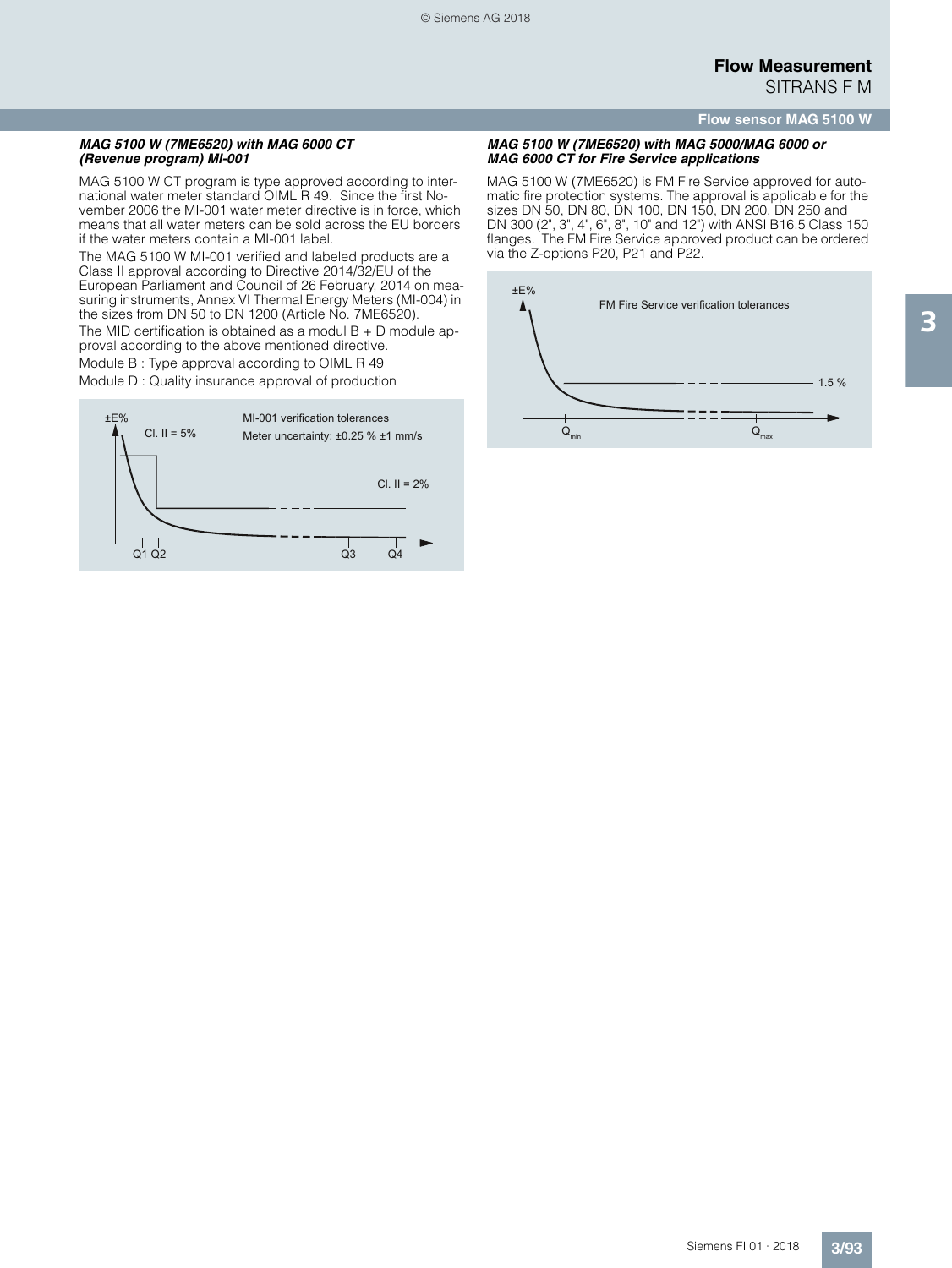#### **Flow sensor MAG 5100 W**

#### *MAG 5100 W (7ME6520) with MAG 6000 CT (Revenue program) MI-001*

MAG 5100 W CT program is type approved according to international water meter standard OIML R 49. Since the first November 2006 the MI-001 water meter directive is in force, which means that all water meters can be sold across the EU borders if the water meters contain a MI-001 label.

The MAG 5100 W MI-001 verified and labeled products are a Class II approval according to Directive 2014/32/EU of the European Parliament and Council of 26 February, 2014 on measuring instruments, Annex VI Thermal Energy Meters (MI-004) in the sizes from DN 50 to DN 1200 (Article No. 7ME6520).

The MID certification is obtained as a modul  $B + D$  module approval according to the above mentioned directive.

Module B : Type approval according to OIML R 49

Module D : Quality insurance approval of production



#### *MAG 5100 W (7ME6520) with MAG 5000/MAG 6000 or MAG 6000 CT for Fire Service applications*

MAG 5100 W (7ME6520) is FM Fire Service approved for automatic fire protection systems. The approval is applicable for the sizes DN 50, DN 80, DN 100, DN 150, DN 200, DN 250 and DN 300 (2", 3", 4", 6", 8", 10" and 12") with ANSI B16.5 Class 150 flanges. The FM Fire Service approved product can be ordered via the Z-options P20, P21 and P22.

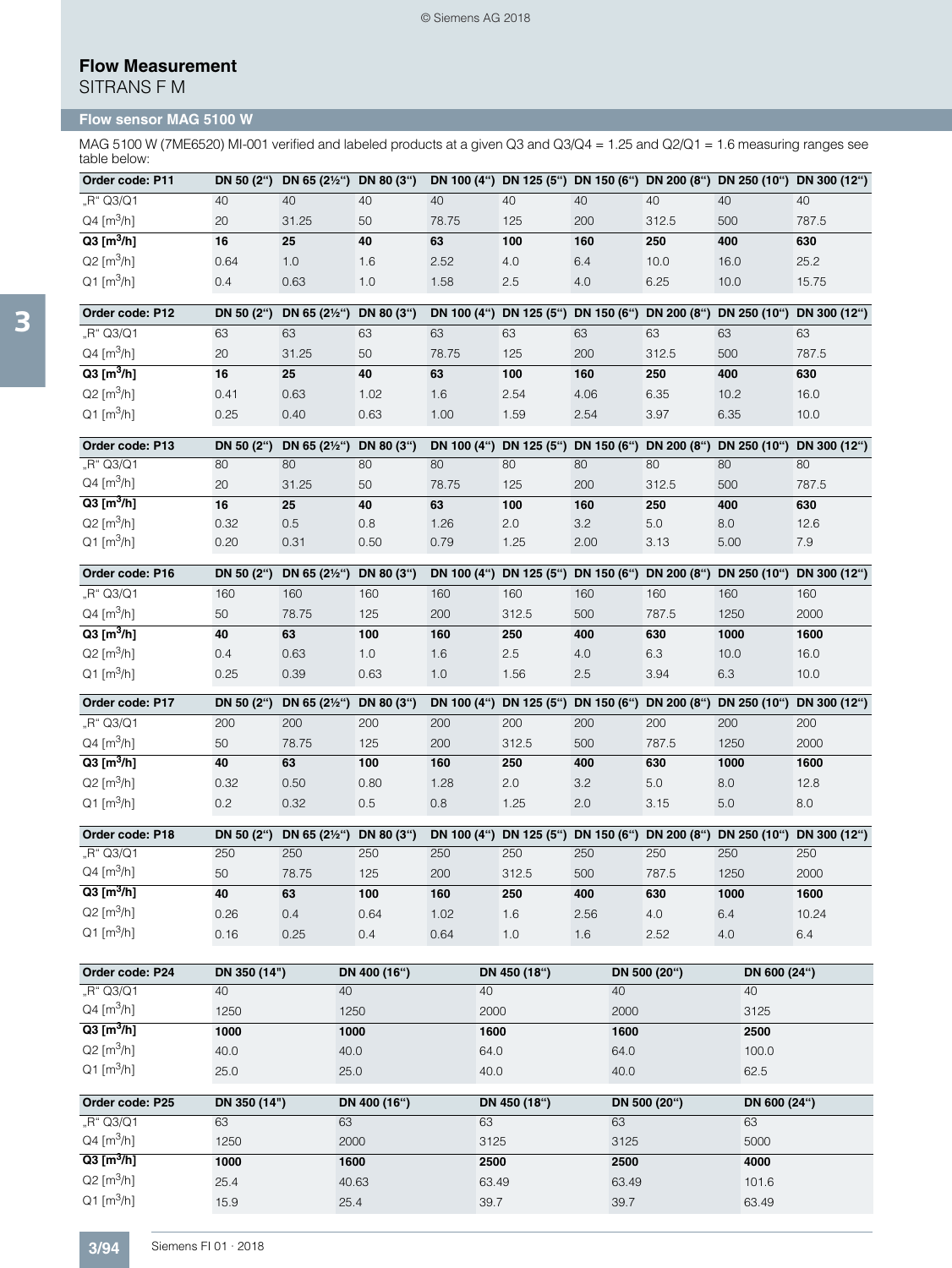SITRANS F M

## **Flow sensor MAG 5100 W**

MAG 5100 W (7ME6520) MI-001 verified and labeled products at a given Q3 and Q3/Q4 = 1.25 and Q2/Q1 = 1.6 measuring ranges see table below:

| Order code: P11          |      | DN 50 (2") DN 65 (21/2") DN 80 (3") |     |       |     |     |       |      | DN 100 (4") DN 125 (5") DN 150 (6") DN 200 (8") DN 250 (10") DN 300 (12") |
|--------------------------|------|-------------------------------------|-----|-------|-----|-----|-------|------|---------------------------------------------------------------------------|
| "R" Q3/Q1                | 40   | 40                                  | 40  | 40    | 40  | 40  | 40    | 40   | 40                                                                        |
| $Q4 [m^3/h]$             | 20   | 31.25                               | 50  | 78.75 | 125 | 200 | 312.5 | 500  | 787.5                                                                     |
| $Q3$ [m <sup>3</sup> /h] | 16   | 25                                  | 40  | 63    | 100 | 160 | 250   | 400  | 630                                                                       |
| $Q2 \, [m^3/h]$          | 0.64 | 1.0                                 | 1.6 | 2.52  | 4.0 | 6.4 | 10.0  | 16.0 | 25.2                                                                      |
| $Q1$ [m <sup>3</sup> /h] | 0.4  | 0.63                                | 1.0 | .58   | 2.5 | 4.0 | 6.25  | 10.0 | 15.75                                                                     |

| Order code: P12          | DN 50 (2") | DN 65 (2½") DN 80 (3") |      |                 |      |      |       |      | DN 100 (4") DN 125 (5") DN 150 (6") DN 200 (8") DN 250 (10") DN 300 (12") |
|--------------------------|------------|------------------------|------|-----------------|------|------|-------|------|---------------------------------------------------------------------------|
| "R" Q3/Q1                | 63         | 63                     | 63   | 63              | 63   | 63   | 63    | 63   | 63                                                                        |
| $Q4 [m^3/h]$             | 20         | 31.25                  | 50   | 78.75           | 125  | 200  | 312.5 | 500  | 787.5                                                                     |
| $Q3$ [m $^3$ /h]         | 16         | 25                     | 40   | 63              | 100  | 160  | 250   | 400  | 630                                                                       |
| $Q2 [m^3/h]$             | 0.41       | 0.63                   | .02  | .6 <sub>1</sub> | 2.54 | 4.06 | 6.35  | 10.2 | 16.0                                                                      |
| $Q1$ [m <sup>3</sup> /h] | 0.25       | 0.40                   | 0.63 | .00             | .59  | 2.54 | 3.97  | 6.35 | 10.0                                                                      |

| Order code: P13               |      | DN 50 (2") DN 65 (2 $\frac{1}{2}$ ") DN 80 (3") |      |       |     |      |       |      | DN 100 (4") DN 125 (5") DN 150 (6") DN 200 (8") DN 250 (10") DN 300 (12") |
|-------------------------------|------|-------------------------------------------------|------|-------|-----|------|-------|------|---------------------------------------------------------------------------|
| "R" Q3/Q1                     | 80   | 80                                              | 80   | 80    | 80  | 80   | 80    | 80   | 80                                                                        |
| $Q4 \, [\text{m}^3/\text{h}]$ | 20   | 31.25                                           | 50   | 78.75 | 125 | 200  | 312.5 | 500  | 787.5                                                                     |
| $Q3$ [m <sup>3</sup> /h]      | 16   | 25                                              | 40   | 63    | 100 | 160  | 250   | 400  | 630                                                                       |
| $Q2$ [m <sup>3</sup> /h]      | 0.32 | $0.5^{\circ}$                                   | 0.8  | 1.26  | 2.0 | 3.2  | 5.0   | 8.0  | 12.6                                                                      |
| $Q1$ [m <sup>3</sup> /h]      | 0.20 | 0.31                                            | 0.50 | 0.79  | .25 | 2.00 | 3.13  | 5.00 | 7.9                                                                       |

| Order code: P16               | DN 50 (2") | DN 65 (2½") DN 80 (3") |      |     |       |     |       | DN 100 (4") DN 125 (5") DN 150 (6") DN 200 (8") DN 250 (10") | DN 300 (12") |
|-------------------------------|------------|------------------------|------|-----|-------|-----|-------|--------------------------------------------------------------|--------------|
| "R" Q3/Q1                     | 160        | 160                    | 160  | 160 | 160   | 160 | 160   | 160                                                          | 160          |
| $Q4 \, [\text{m}^3/\text{h}]$ | 50         | 78.75                  | 125  | 200 | 312.5 | 500 | 787.5 | 1250                                                         | 2000         |
| $Q3 [m^3/h]$                  | 40         | 63                     | 100  | 160 | 250   | 400 | 630   | 1000                                                         | 1600         |
| $Q2 [m^3/h]$                  | 0.4        | 0.63                   | 1.0  | 1.6 | 2.5   | 4.0 | 6.3   | 10.0                                                         | 16.0         |
| $Q1$ [m <sup>3</sup> /h]      | 0.25       | 0.39                   | 0.63 | 1.0 | .56   | 2.5 | 3.94  | 6.3                                                          | 10.0         |

| Order code: P17               |      | DN 50 (2") DN 65 (21/2") DN 80 (3") |      |      |       |     |       |      | DN 100 (4") DN 125 (5") DN 150 (6") DN 200 (8") DN 250 (10") DN 300 (12") |
|-------------------------------|------|-------------------------------------|------|------|-------|-----|-------|------|---------------------------------------------------------------------------|
| "R" Q3/Q1                     | 200  | 200                                 | 200  | 200  | 200   | 200 | 200   | 200  | 200                                                                       |
| $Q4 \, [\text{m}^3/\text{h}]$ | 50   | 78.75                               | 125  | 200  | 312.5 | 500 | 787.5 | 1250 | 2000                                                                      |
| $Q3$ [m <sup>3</sup> /h]      | 40   | 63                                  | 100  | 160  | 250   | 400 | 630   | 1000 | 1600                                                                      |
| $Q2 \, [\text{m}^3/\text{h}]$ | 0.32 | 0.50                                | 0.80 | 1.28 | 2.0   | 3.2 | 5.0   | 8.0  | 12.8                                                                      |
| $Q1$ [m <sup>3</sup> /h]      | 0.2  | 0.32                                | 0.5  | 0.8  | 1.25  | 2.0 | 3.15  | 5.0  | 8.0                                                                       |

| Order code: P18          | DN 50 (2") | DN 65 (2½") DN 80 (3") |      |      |       |      |       |      | DN 100 (4") DN 125 (5") DN 150 (6") DN 200 (8") DN 250 (10") DN 300 (12") |
|--------------------------|------------|------------------------|------|------|-------|------|-------|------|---------------------------------------------------------------------------|
| "R" Q3/Q1                | 250        | 250                    | 250  | 250  | 250   | 250  | 250   | 250  | 250                                                                       |
| $Q4 [m^3/h]$             | 50         | 78.75                  | 125  | 200  | 312.5 | 500  | 787.5 | 1250 | 2000                                                                      |
| $Q3$ [m <sup>3</sup> /h] | 40         | 63                     | 100  | 160  | 250   | 400  | 630   | 1000 | 1600                                                                      |
| $Q2 [m^3/h]$             | 0.26       | 0.4                    | 0.64 | 1.02 | 1.6   | 2.56 | 4.0   | 6.4  | 10.24                                                                     |
| $Q1$ [m <sup>3</sup> /h] | 0.16       | 0.25                   | 0.4  | 0.64 | 1.0   | 1.6  | 2.52  | 4.0  | 6.4                                                                       |

| Order code: P24          | DN 350 (14") | DN 400 (16") | DN 450 (18") | DN 500 (20") | DN 600 (24") |
|--------------------------|--------------|--------------|--------------|--------------|--------------|
| "R" Q3/Q1                | 40           | 40           | 40           | 40           | 40           |
| $Q4 [m^3/h]$             | 1250         | 1250         | 2000         | 2000         | 3125         |
| $Q3$ [m <sup>3</sup> /h] | 1000         | 1000         | 1600         | 1600         | 2500         |
| $Q2 [m^3/h]$             | 40.0         | 40.0         | 64.0         | 64.0         | 100.0        |
| $Q1$ [m <sup>3</sup> /h] | 25.0         | 25.0         | 40.0         | 40.0         | 62.5         |

| Order code: P25          | DN 350 (14") | DN 400 (16") | DN 450 (18") | DN 500 (20") | DN 600 (24") |
|--------------------------|--------------|--------------|--------------|--------------|--------------|
| "R" Q3/Q1                | 63           | 63           | 63           | 63           | 63           |
| $Q4 [m^3/h]$             | 1250         | 2000         | 3125         | 3125         | 5000         |
| $Q3 [m^3/h]$             | 1000         | 1600         | 2500         | 2500         | 4000         |
| $Q2 [m^3/h]$             | 25.4         | 40.63        | 63.49        | 63.49        | 101.6        |
| $Q1$ [m <sup>3</sup> /h] | 15.9         | 25.4         | 39.7         | 39.7         | 63.49        |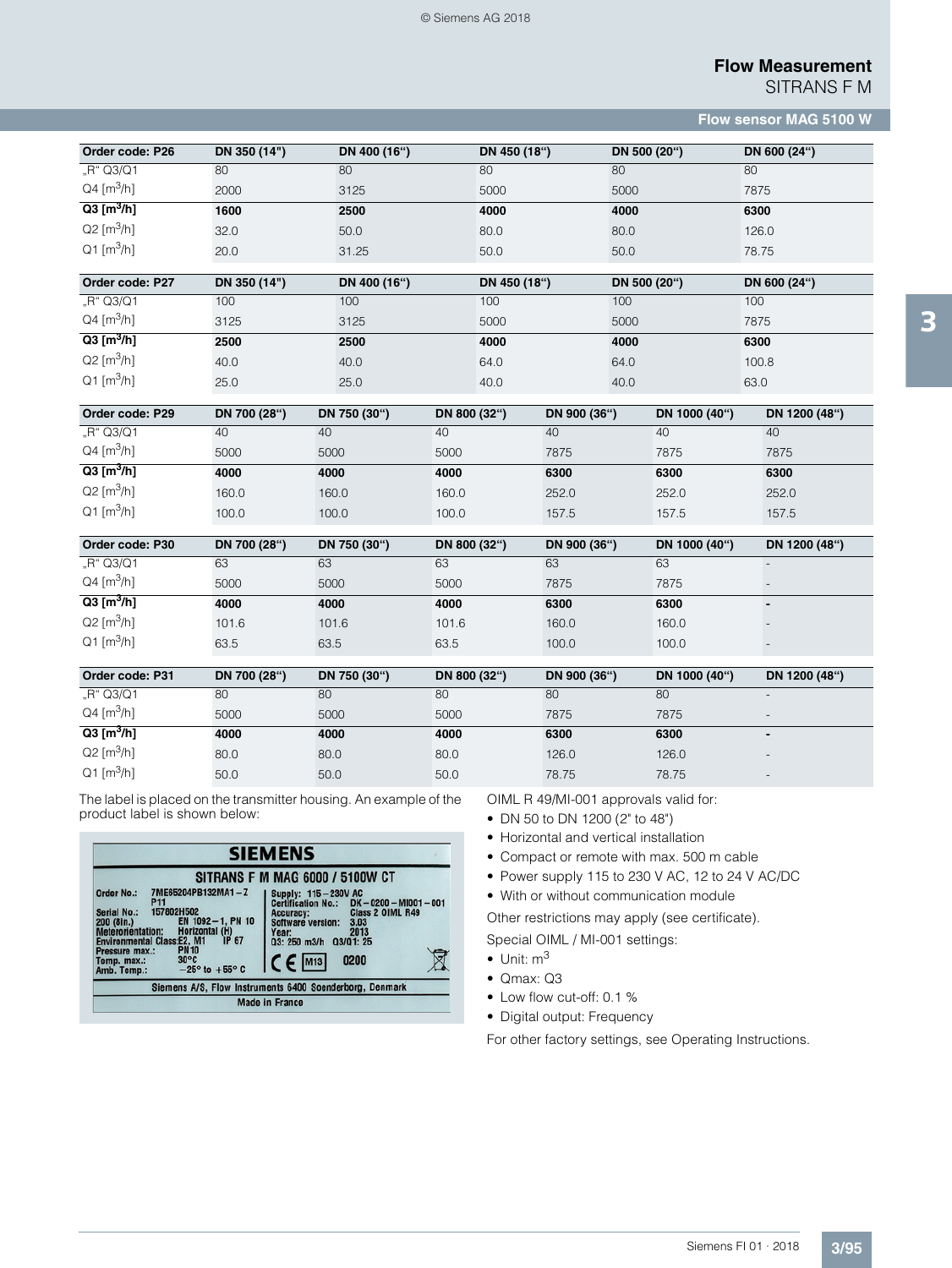SITRANS F M

**Flow sensor MAG 5100 W**

| Order code: P26          | DN 350 (14") | DN 400 (16") | DN 450 (18") | DN 500 (20") | DN 600 (24") |
|--------------------------|--------------|--------------|--------------|--------------|--------------|
| "R" Q3/Q1                | 80           | 80           | 80           | 80           | 80           |
| $Q4 [m^3/h]$             | 2000         | 3125         | 5000         | 5000         | 7875         |
| $Q3$ [m <sup>3</sup> /h] | 1600         | 2500         | 4000         | 4000         | 6300         |
| $Q2 [m^3/h]$             | 32.0         | 50.0         | 80.0         | 80.0         | 126.0        |
| $Q1 [m^3/h]$             | 20.0         | 31.25        | 50.0         | 50.0         | 78.75        |

| Order code: P27          | DN 350 (14") | DN 400 (16") | DN 450 (18") | DN 500 (20") | DN 600 (24") |
|--------------------------|--------------|--------------|--------------|--------------|--------------|
| "R" Q3/Q1                | 100          | 100          | 100          | 100          | 100          |
| $Q4 [m^3/h]$             | 3125         | 3125         | 5000         | 5000         | 7875         |
| $Q3$ [m <sup>3</sup> /h] | 2500         | 2500         | 4000         | 4000         | 6300         |
| $Q2 [m^3/h]$             | 40.0         | 40.0         | 64.0         | 64.0         | 100.8        |
| $Q1$ [m <sup>3</sup> /h] | 25.0         | 25.0         | 40.0         | 40.0         | 63.0         |

| Order code: P29          | DN 700 (28") | DN 750 (30") | DN 800 (32") | DN 900 (36") | DN 1000 (40") | DN 1200 (48") |  |
|--------------------------|--------------|--------------|--------------|--------------|---------------|---------------|--|
| "R" Q3/Q1                | 40           | 40           | 40           | 40           | 40            | 40            |  |
| $Q4 [m^3/h]$             | 5000         | 5000         | 5000         | 7875         | 7875          | 7875          |  |
| $Q3$ [m <sup>3</sup> /h] | 4000         | 4000         | 4000         | 6300         | 6300          | 6300          |  |
| $Q2 [m^3/h]$             | 160.0        | 160.0        | 160.0        | 252.0        | 252.0         | 252.0         |  |
| $Q1$ [m <sup>3</sup> /h] | 100.0        | 100.0        | 100.0        | 157.5        | 157.5         | 157.5         |  |

| Order code: P30          | DN 700 (28") | DN 750 (30") | DN 800 (32") | DN 900 (36") | DN 1000 (40") | DN 1200 (48") |
|--------------------------|--------------|--------------|--------------|--------------|---------------|---------------|
| "R" Q3/Q1                | 63           | 63           | 63           | 63           | 63            |               |
| $Q4 [m^3/h]$             | 5000         | 5000         | 5000         | 7875         | 7875          |               |
| $Q3 [m^3/h]$             | 4000         | 4000         | 4000         | 6300         | 6300          |               |
| $Q2 [m^3/h]$             | 101.6        | 101.6        | 101.6        | 160.0        | 160.0         |               |
| $Q1$ [m <sup>3</sup> /h] | 63.5         | 63.5         | 63.5         | 100.0        | 100.0         |               |

| Order code: P31          | DN 700 (28") | DN 750 (30") | DN 800 (32") | DN 900 (36") | DN 1000 (40") | DN 1200 (48")            |
|--------------------------|--------------|--------------|--------------|--------------|---------------|--------------------------|
| "R" Q3/Q1                | 80           | 80           | 80           | 80           | 80            | $\overline{\phantom{0}}$ |
| $Q4 [m^3/h]$             | 5000         | 5000         | 5000         | 7875         | 7875          | $\overline{\phantom{0}}$ |
| $Q3$ [m <sup>3</sup> /h] | 4000         | 4000         | 4000         | 6300         | 6300          |                          |
| $Q2 \, [m^3/h]$          | 80.0         | 80.0         | 80.0         | 126.0        | 126.0         | $\overline{\phantom{0}}$ |
| $Q1$ [m <sup>3</sup> /h] | 50.0         | 50.0         | 50.0         | 78.75        | 78.75         | $\overline{\phantom{0}}$ |

The label is placed on the transmitter housing. An example of the product label is shown below:

| <b>SIEMENS</b>                                                                                                                                                                                                                                                                                              |                                                                                                                                                                                                                                                                 |  |  |  |  |  |  |  |  |
|-------------------------------------------------------------------------------------------------------------------------------------------------------------------------------------------------------------------------------------------------------------------------------------------------------------|-----------------------------------------------------------------------------------------------------------------------------------------------------------------------------------------------------------------------------------------------------------------|--|--|--|--|--|--|--|--|
| 7ME65204PB132MA1-Z<br>Order No.:<br><b>P11</b><br>157802H502<br>Serial No.:<br>EN 1092-1, PN 10<br>200 (8in.)<br>Meterorientation: Horizontal (H)<br>Meterorientation: Class: F2, M1 IP 67<br><b>PN10</b><br>Pressure max.:<br>$30^{\circ}$ C<br>Temp. max.:<br>$-25^\circ$ to $+55^\circ$ C<br>Amb. Temp.: | <b>SITRANS F M MAG 6000 / 5100W CT</b><br>Supply: 115-230V AC<br>Certification No.: DK-0200-MI001-001<br>Class 2 OIML R49<br>Accuracy:<br>Software version:<br>3.03<br>2013<br>Year:<br>rear: 2013<br>03: 250 m3/h 03/01: 25<br>$C \in$ M <sub>13</sub><br>0200 |  |  |  |  |  |  |  |  |
|                                                                                                                                                                                                                                                                                                             | Siemens A/S, Flow Instruments 6400 Soenderborg, Denmark                                                                                                                                                                                                         |  |  |  |  |  |  |  |  |
|                                                                                                                                                                                                                                                                                                             | <b>Made in France</b>                                                                                                                                                                                                                                           |  |  |  |  |  |  |  |  |

OIML R 49/MI-001 approvals valid for:

- DN 50 to DN 1200 (2" to 48")
- Horizontal and vertical installation
- Compact or remote with max. 500 m cable
- Power supply 115 to 230 V AC, 12 to 24 V AC/DC

• With or without communication module

Other restrictions may apply (see certificate).

- Special OIML / MI-001 settings:
- $\bullet$  Unit:  $\text{m}^3$
- Qmax: Q3
- Low flow cut-off: 0.1 %
- Digital output: Frequency

For other factory settings, see Operating Instructions.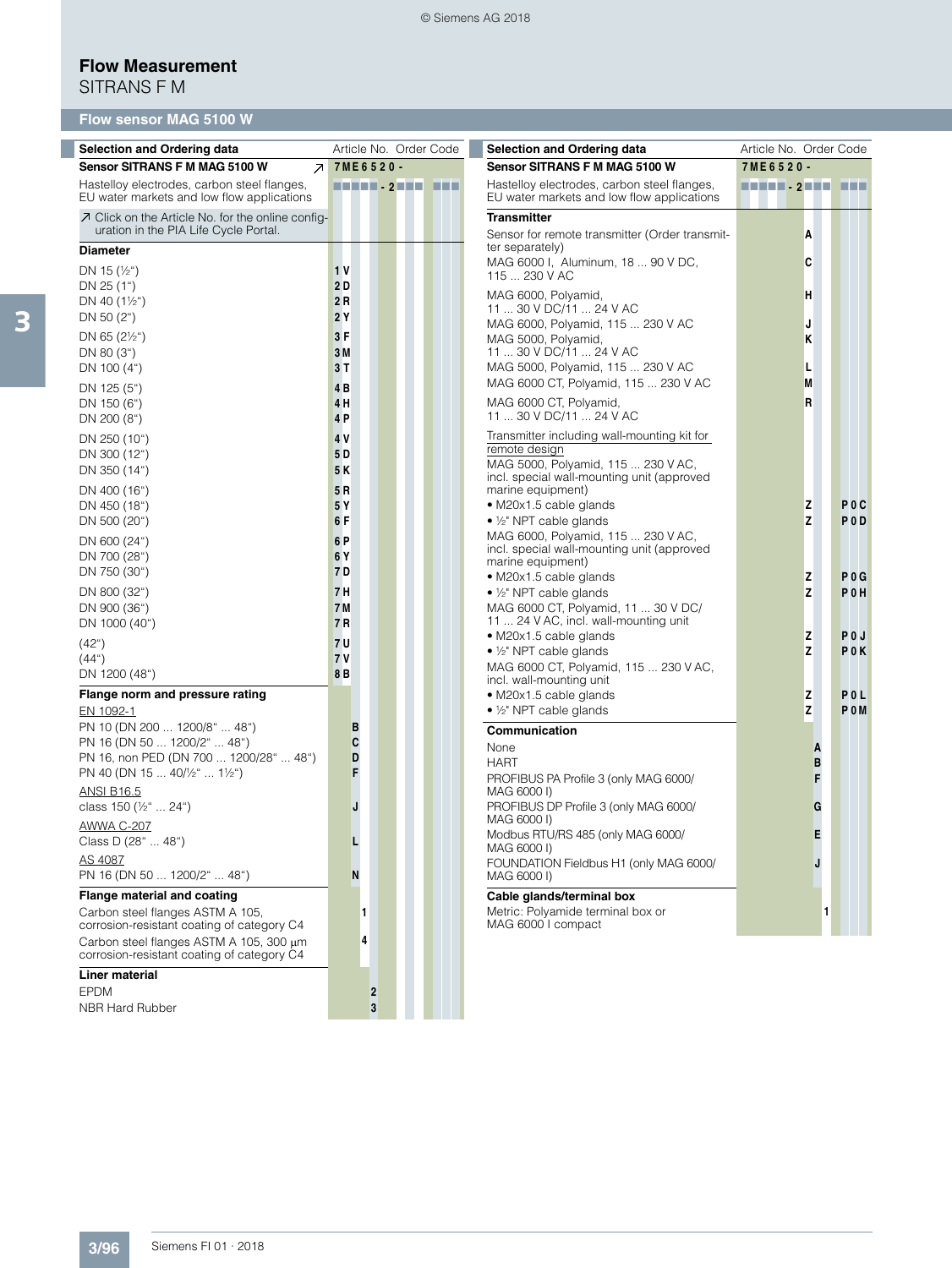# **Flow Measurement**

SITRANS F M

| <b>Flow sensor MAG 5100 W</b>                                                                                                                                                                                                                                                                                                                                                                                                                          |                                                                                                                                                                                       |                                                                                                                                                                                                                                                                                                                                                                                                                                                                                                                                                                                                                                                                                                                                                                                                                                                                                                                                                   |                                                               |                                                                                                                        |
|--------------------------------------------------------------------------------------------------------------------------------------------------------------------------------------------------------------------------------------------------------------------------------------------------------------------------------------------------------------------------------------------------------------------------------------------------------|---------------------------------------------------------------------------------------------------------------------------------------------------------------------------------------|---------------------------------------------------------------------------------------------------------------------------------------------------------------------------------------------------------------------------------------------------------------------------------------------------------------------------------------------------------------------------------------------------------------------------------------------------------------------------------------------------------------------------------------------------------------------------------------------------------------------------------------------------------------------------------------------------------------------------------------------------------------------------------------------------------------------------------------------------------------------------------------------------------------------------------------------------|---------------------------------------------------------------|------------------------------------------------------------------------------------------------------------------------|
| <b>Selection and Ordering data</b>                                                                                                                                                                                                                                                                                                                                                                                                                     | Article No. Order Code                                                                                                                                                                | <b>Selection and Ordering data</b>                                                                                                                                                                                                                                                                                                                                                                                                                                                                                                                                                                                                                                                                                                                                                                                                                                                                                                                | Article No. Order Code                                        |                                                                                                                        |
| Sensor SITRANS F M MAG 5100 W<br>7 <sup>1</sup>                                                                                                                                                                                                                                                                                                                                                                                                        | 7ME6520-                                                                                                                                                                              | Sensor SITRANS F M MAG 5100 W                                                                                                                                                                                                                                                                                                                                                                                                                                                                                                                                                                                                                                                                                                                                                                                                                                                                                                                     | 7ME6520-                                                      |                                                                                                                        |
| Hastelloy electrodes, carbon steel flanges,<br>EU water markets and low flow applications                                                                                                                                                                                                                                                                                                                                                              |                                                                                                                                                                                       | Hastelloy electrodes, carbon steel flanges,<br>EU water markets and low flow applications                                                                                                                                                                                                                                                                                                                                                                                                                                                                                                                                                                                                                                                                                                                                                                                                                                                         | HENEL - 2 HEN HEN                                             |                                                                                                                        |
| ○ Click on the Article No. for the online config-<br>uration in the PIA Life Cycle Portal.                                                                                                                                                                                                                                                                                                                                                             |                                                                                                                                                                                       | <b>Transmitter</b><br>Sensor for remote transmitter (Order transmit-                                                                                                                                                                                                                                                                                                                                                                                                                                                                                                                                                                                                                                                                                                                                                                                                                                                                              | A                                                             |                                                                                                                        |
| <b>Diameter</b><br>DN 15 $(\frac{1}{2})$<br>DN 25 (1")<br>DN 40 $(1\frac{1}{2})$<br>DN 50 $(2^{\circ})$<br>DN 65 $(2\frac{1}{2})$<br>DN 80 (3")<br>DN 100 $(4")$<br>DN 125 (5")<br>DN 150 (6")<br>DN 200 (8")<br>DN 250 (10")<br>DN 300 (12")<br>DN 350 (14")<br>DN 400 (16")<br>DN 450 (18")<br>DN 500 (20")<br>DN 600 (24")<br>DN 700 (28")<br>DN 750 (30")<br>DN 800 (32")<br>DN 900 (36")<br>DN 1000 (40")<br>$(42^{\circ})$<br>(44 <sup>°</sup> ) | 1 <sub>V</sub><br>2 D<br>2 R<br>2 Y<br>3F<br>3 M<br>3 T<br>4 B<br>4 H<br>4 P<br>4 V<br>5 D<br>5 K<br>5 R<br>5 Y<br>6 F<br>6 P<br>6 Y<br>7 D<br>7 H<br>7 M<br>7 R<br>7 U<br><b>7 V</b> | ter separately)<br>MAG 6000 I, Aluminum, 18  90 V DC,<br>115  230 V AC<br>MAG 6000, Polyamid,<br>11  30 V DC/11  24 V AC<br>MAG 6000, Polyamid, 115  230 V AC<br>MAG 5000, Polyamid,<br>11  30 V DC/11  24 V AC<br>MAG 5000, Polyamid, 115  230 V AC<br>MAG 6000 CT, Polyamid, 115  230 V AC<br>MAG 6000 CT, Polyamid,<br>11  30 V DC/11  24 V AC<br>Transmitter including wall-mounting kit for<br>remote design<br>MAG 5000, Polyamid, 115  230 V AC,<br>incl. special wall-mounting unit (approved<br>marine equipment)<br>• M20x1.5 cable glands<br>$\bullet$ 1/ <sub>2</sub> " NPT cable glands<br>MAG 6000, Polyamid, 115  230 V AC,<br>incl. special wall-mounting unit (approved<br>marine equipment)<br>• M20x1.5 cable glands<br>$\bullet$ 1/ <sub>2</sub> " NPT cable glands<br>MAG 6000 CT, Polyamid, 11  30 V DC/<br>11  24 V AC, incl. wall-mounting unit<br>• M20x1.5 cable glands<br>$\bullet$ 1/ <sub>2</sub> " NPT cable glands | C<br>H<br>J<br>κ<br>L<br>M<br>R<br>z<br>z<br>Z<br>Z<br>Z<br>Z | P <sub>0</sub> C<br>P <sub>0</sub> <sub>D</sub><br>$P$ <sub>0</sub> $G$<br>POH<br>P <sub>0</sub> J<br>P <sub>0</sub> K |
| DN 1200 (48")<br>Flange norm and pressure rating<br>EN 1092-1<br>PN 10 (DN 200  1200/8"  48")<br>PN 16 (DN 50  1200/2"  48")<br>PN 16, non PED (DN 700  1200/28"  48")<br>PN 40 (DN 15  40/ $\frac{1}{2}$ "  1 $\frac{1}{2}$ ")<br><b>ANSI B16.5</b><br>class 150 (1/2"  24")<br>AWWA C-207<br>Class D (28"  48")<br>AS 4087<br>PN 16 (DN 50  1200/2"  48")<br>Flange material and coating<br>Carbon steel flanges ASTM A 105.                         | 8B<br>в<br>C<br>D<br>F<br>J<br>Г<br>N<br>1                                                                                                                                            | MAG 6000 CT, Polyamid, 115  230 V AC,<br>incl. wall-mounting unit<br>• M20x1.5 cable glands<br>$\bullet$ 1/ <sub>2</sub> " NPT cable glands<br>Communication<br>None<br><b>HART</b><br>PROFIBUS PA Profile 3 (only MAG 6000/<br>MAG 6000 I)<br>PROFIBUS DP Profile 3 (only MAG 6000/<br>MAG 6000 I)<br>Modbus RTU/RS 485 (only MAG 6000/<br>MAG 6000 I)<br>FOUNDATION Fieldbus H1 (only MAG 6000/<br>MAG 6000 I)<br>Cable glands/terminal box<br>Metric: Polyamide terminal box or                                                                                                                                                                                                                                                                                                                                                                                                                                                                | z<br>Z<br>A<br>B<br>F<br>G<br>E                               | POL<br>P <sub>0</sub> M                                                                                                |
| corrosion-resistant coating of category C4<br>Carbon steel flanges ASTM A 105, 300 µm<br>corrosion-resistant coating of category C4<br><b>Liner material</b>                                                                                                                                                                                                                                                                                           | 4                                                                                                                                                                                     | MAG 6000 I compact                                                                                                                                                                                                                                                                                                                                                                                                                                                                                                                                                                                                                                                                                                                                                                                                                                                                                                                                |                                                               |                                                                                                                        |
|                                                                                                                                                                                                                                                                                                                                                                                                                                                        |                                                                                                                                                                                       |                                                                                                                                                                                                                                                                                                                                                                                                                                                                                                                                                                                                                                                                                                                                                                                                                                                                                                                                                   |                                                               |                                                                                                                        |

EPDM **2** NBR Hard Rubber **3**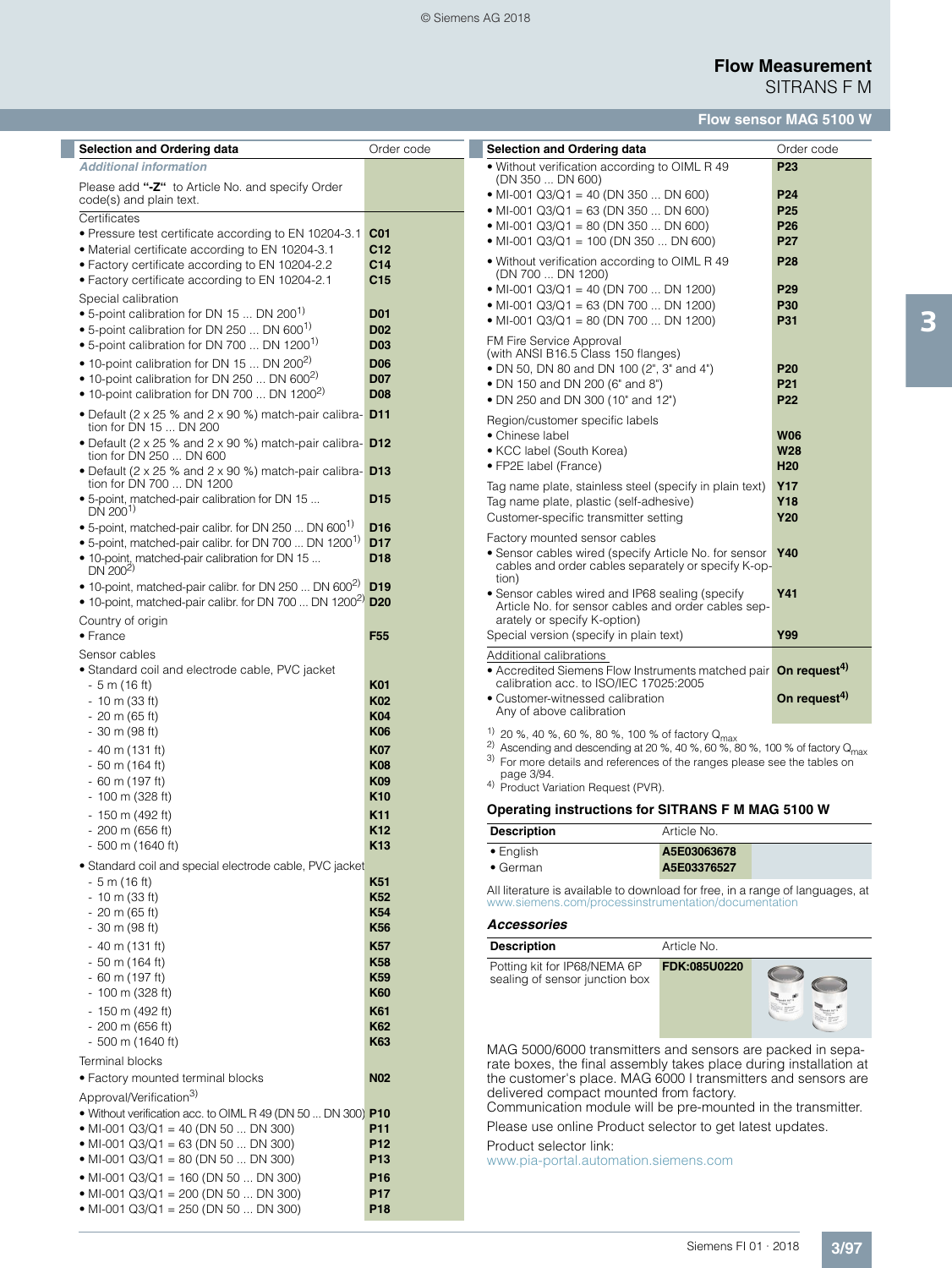## **Flow Measurement** SITRANS F M

# **Flow sensor MAG 5100 W**

| <b>Selection and Ordering data</b>                                                                                                   | Order code                    | <b>Selection and Ordering data</b>                                                                                                    |                          | Order code                         |
|--------------------------------------------------------------------------------------------------------------------------------------|-------------------------------|---------------------------------------------------------------------------------------------------------------------------------------|--------------------------|------------------------------------|
| <b>Additional information</b>                                                                                                        |                               | . Without verification according to OIML R 49                                                                                         |                          | P <sub>23</sub>                    |
| Please add "-Z" to Article No. and specify Order                                                                                     |                               | (DN 350  DN 600)                                                                                                                      |                          |                                    |
| code(s) and plain text.                                                                                                              |                               | • MI-001 Q3/Q1 = 40 (DN 350  DN 600)                                                                                                  |                          | P <sub>24</sub>                    |
| Certificates                                                                                                                         |                               | • MI-001 Q3/Q1 = 63 (DN 350  DN 600)<br>• MI-001 Q3/Q1 = 80 (DN 350  DN 600)                                                          |                          | P <sub>25</sub><br>P <sub>26</sub> |
| • Pressure test certificate according to EN 10204-3.1                                                                                | C <sub>01</sub>               | • MI-001 Q3/Q1 = 100 (DN 350  DN 600)                                                                                                 |                          | <b>P27</b>                         |
| • Material certificate according to EN 10204-3.1                                                                                     | C12                           |                                                                                                                                       |                          |                                    |
| • Factory certificate according to EN 10204-2.2                                                                                      | C <sub>14</sub>               | • Without verification according to OIML R 49<br>(DN 700  DN 1200)                                                                    |                          | P28                                |
| • Factory certificate according to EN 10204-2.1                                                                                      | C <sub>15</sub>               | • MI-001 Q3/Q1 = 40 (DN 700  DN 1200)                                                                                                 |                          | P <sub>29</sub>                    |
| Special calibration<br>• 5-point calibration for DN 15  DN 200 <sup>1)</sup>                                                         | <b>D01</b>                    | • MI-001 Q3/Q1 = 63 (DN 700  DN 1200)                                                                                                 |                          | <b>P30</b>                         |
| • 5-point calibration for DN 250  DN 600 <sup>1)</sup>                                                                               | <b>D02</b>                    | • MI-001 Q3/Q1 = 80 (DN 700  DN 1200)                                                                                                 |                          | <b>P31</b>                         |
| • 5-point calibration for DN 700  DN 1200 <sup>1)</sup>                                                                              | <b>D03</b>                    | FM Fire Service Approval                                                                                                              |                          |                                    |
| • 10-point calibration for DN 15  DN 200 <sup>2)</sup>                                                                               | <b>D06</b>                    | (with ANSI B16.5 Class 150 flanges)                                                                                                   |                          |                                    |
| • 10-point calibration for DN 250  DN 600 <sup>2)</sup>                                                                              | <b>D07</b>                    | • DN 50, DN 80 and DN 100 (2", 3" and 4")<br>• DN 150 and DN 200 (6" and 8")                                                          |                          | P <sub>20</sub><br>P21             |
| • 10-point calibration for DN 700  DN 1200 <sup>2)</sup>                                                                             | <b>D08</b>                    | • DN 250 and DN 300 (10" and 12")                                                                                                     |                          | <b>P22</b>                         |
| • Default (2 x 25 % and 2 x 90 %) match-pair calibra- $D11$                                                                          |                               |                                                                                                                                       |                          |                                    |
| tion for DN 15  DN 200                                                                                                               |                               | Region/customer specific labels<br>• Chinese label                                                                                    |                          | <b>W06</b>                         |
| • Default (2 x 25 % and 2 x 90 %) match-pair calibra- $D12$                                                                          |                               | • KCC label (South Korea)                                                                                                             |                          | <b>W28</b>                         |
| tion for DN 250  DN 600<br>• Default (2 x 25 % and 2 x 90 %) match-pair calibra- $D13$                                               |                               | • FP2E label (France)                                                                                                                 |                          | H <sub>20</sub>                    |
| tion for DN 700  DN 1200                                                                                                             |                               | Tag name plate, stainless steel (specify in plain text)                                                                               |                          | <b>Y17</b>                         |
| • 5-point, matched-pair calibration for DN 15                                                                                        | D <sub>15</sub>               | Tag name plate, plastic (self-adhesive)                                                                                               |                          | Y18                                |
| $DN$ 200 <sup>1)</sup>                                                                                                               |                               | Customer-specific transmitter setting                                                                                                 |                          | Y20                                |
| • 5-point, matched-pair calibr. for DN 250  DN 600 <sup>1</sup><br>• 5-point, matched-pair calibr. for DN 700  DN 1200 <sup>1)</sup> | D <sub>16</sub><br><b>D17</b> | Factory mounted sensor cables                                                                                                         |                          |                                    |
| • 10-point, matched-pair calibration for DN 15                                                                                       | D <sub>18</sub>               | • Sensor cables wired (specify Article No. for sensor                                                                                 |                          | <b>Y40</b>                         |
| DN $200^{2}$                                                                                                                         |                               | cables and order cables separately or specify K-op-<br>tion)                                                                          |                          |                                    |
| • 10-point, matched-pair calibr. for DN 250  DN 600 <sup>2)</sup>                                                                    | D <sub>19</sub>               | • Sensor cables wired and IP68 sealing (specify                                                                                       |                          | Y41                                |
| • 10-point, matched-pair calibr. for DN 700  DN 1200 <sup>2)</sup> D20                                                               |                               | Article No. for sensor cables and order cables sep-                                                                                   |                          |                                    |
| Country of origin                                                                                                                    |                               | arately or specify K-option)                                                                                                          |                          |                                    |
| $\bullet$ France                                                                                                                     | F <sub>55</sub>               | Special version (specify in plain text)                                                                                               |                          | Y99                                |
| Sensor cables                                                                                                                        |                               | Additional calibrations                                                                                                               |                          |                                    |
| • Standard coil and electrode cable, PVC jacket<br>- 5 m (16 ft)                                                                     | <b>K01</b>                    | • Accredited Siemens Flow Instruments matched pair <b>On request<sup>4)</sup></b><br>calibration acc. to ISO/IEC 17025:2005           |                          |                                    |
| $-10$ m (33 ft)                                                                                                                      | K <sub>02</sub>               | • Customer-witnessed calibration                                                                                                      | On request <sup>4)</sup> |                                    |
| $-20$ m (65 ft)                                                                                                                      | <b>K04</b>                    | Any of above calibration                                                                                                              |                          |                                    |
| $-30$ m (98 ft)                                                                                                                      | <b>K06</b>                    | <sup>1)</sup> 20 %, 40 %, 60 %, 80 %, 100 % of factory $Q_{\text{max}}$                                                               |                          |                                    |
| - 40 m (131 ft)                                                                                                                      | <b>K07</b>                    | <sup>2)</sup> Ascending and descending at 20 %, 40 %, 60 %, 80 %, 100 % of factory $Q_{\text{max}}$                                   |                          |                                    |
| $-50$ m (164 ft)                                                                                                                     | <b>K08</b>                    | 3) For more details and references of the ranges please see the tables on<br>page 3/94.                                               |                          |                                    |
| $-60$ m (197 ft)                                                                                                                     | K09                           | <sup>4)</sup> Product Variation Request (PVR).                                                                                        |                          |                                    |
| $-100$ m (328 ft)                                                                                                                    | K <sub>10</sub>               | Operating instructions for SITRANS F M MAG 5100 W                                                                                     |                          |                                    |
| - 150 m (492 ft)                                                                                                                     | K11<br><b>K12</b>             |                                                                                                                                       |                          |                                    |
| $-200$ m (656 ft)<br>$-500$ m (1640 ft)                                                                                              | K <sub>13</sub>               | <b>Description</b>                                                                                                                    | Article No.              |                                    |
| • Standard coil and special electrode cable, PVC jacket                                                                              |                               | • English                                                                                                                             | A5E03063678              |                                    |
| $-5$ m (16 ft)                                                                                                                       | K51                           | • German                                                                                                                              | A5E03376527              |                                    |
| $-10$ m (33 ft)                                                                                                                      | K <sub>52</sub>               | All literature is available to download for free, in a range of languages, at<br>www.siemens.com/processinstrumentation/documentation |                          |                                    |
| $-20$ m (65 ft)                                                                                                                      | <b>K54</b>                    |                                                                                                                                       |                          |                                    |
| $-30$ m (98 ft)                                                                                                                      | K56                           | <b>Accessories</b>                                                                                                                    |                          |                                    |
| $-40$ m (131 ft)                                                                                                                     | <b>K57</b>                    | <b>Description</b>                                                                                                                    | Article No.              |                                    |
| $-50$ m (164 ft)                                                                                                                     | K58                           | Potting kit for IP68/NEMA 6P                                                                                                          | FDK:085U0220             |                                    |
| $-60$ m (197 ft)                                                                                                                     | K59<br><b>K60</b>             | sealing of sensor junction box                                                                                                        |                          |                                    |
| $-100$ m (328 ft)                                                                                                                    |                               |                                                                                                                                       |                          |                                    |
| - 150 m (492 ft)<br>$-200$ m (656 ft)                                                                                                | K61<br>K62                    |                                                                                                                                       |                          |                                    |
| $-500$ m (1640 ft)                                                                                                                   | K63                           |                                                                                                                                       |                          |                                    |
| <b>Terminal blocks</b>                                                                                                               |                               | MAG 5000/6000 transmitters and sensors are packed in sepa-                                                                            |                          |                                    |
| • Factory mounted terminal blocks                                                                                                    | <b>N02</b>                    | rate boxes, the final assembly takes place during installation at<br>the customer's place. MAG 6000 I transmitters and sensors are    |                          |                                    |
| Approval/Verification <sup>3)</sup>                                                                                                  |                               | delivered compact mounted from factory.                                                                                               |                          |                                    |
| . Without verification acc. to OIML R 49 (DN 50  DN 300) P10                                                                         |                               | Communication module will be pre-mounted in the transmitter.                                                                          |                          |                                    |
| • MI-001 Q3/Q1 = 40 (DN 50  DN 300)                                                                                                  | P11                           | Please use online Product selector to get latest updates.                                                                             |                          |                                    |
| • MI-001 Q3/Q1 = 63 (DN 50  DN 300)                                                                                                  | P <sub>12</sub>               | Product selector link:                                                                                                                |                          |                                    |
| • MI-001 Q3/Q1 = 80 (DN 50  DN 300)                                                                                                  | P <sub>13</sub>               | www.pia-portal.automation.siemens.com                                                                                                 |                          |                                    |
| • MI-001 Q3/Q1 = 160 (DN 50  DN 300)                                                                                                 | P16                           |                                                                                                                                       |                          |                                    |
| • MI-001 Q3/Q1 = 200 (DN 50  DN 300)                                                                                                 | <b>P17</b>                    |                                                                                                                                       |                          |                                    |
| • MI-001 Q3/Q1 = 250 (DN 50  DN 300)                                                                                                 | P18                           |                                                                                                                                       |                          |                                    |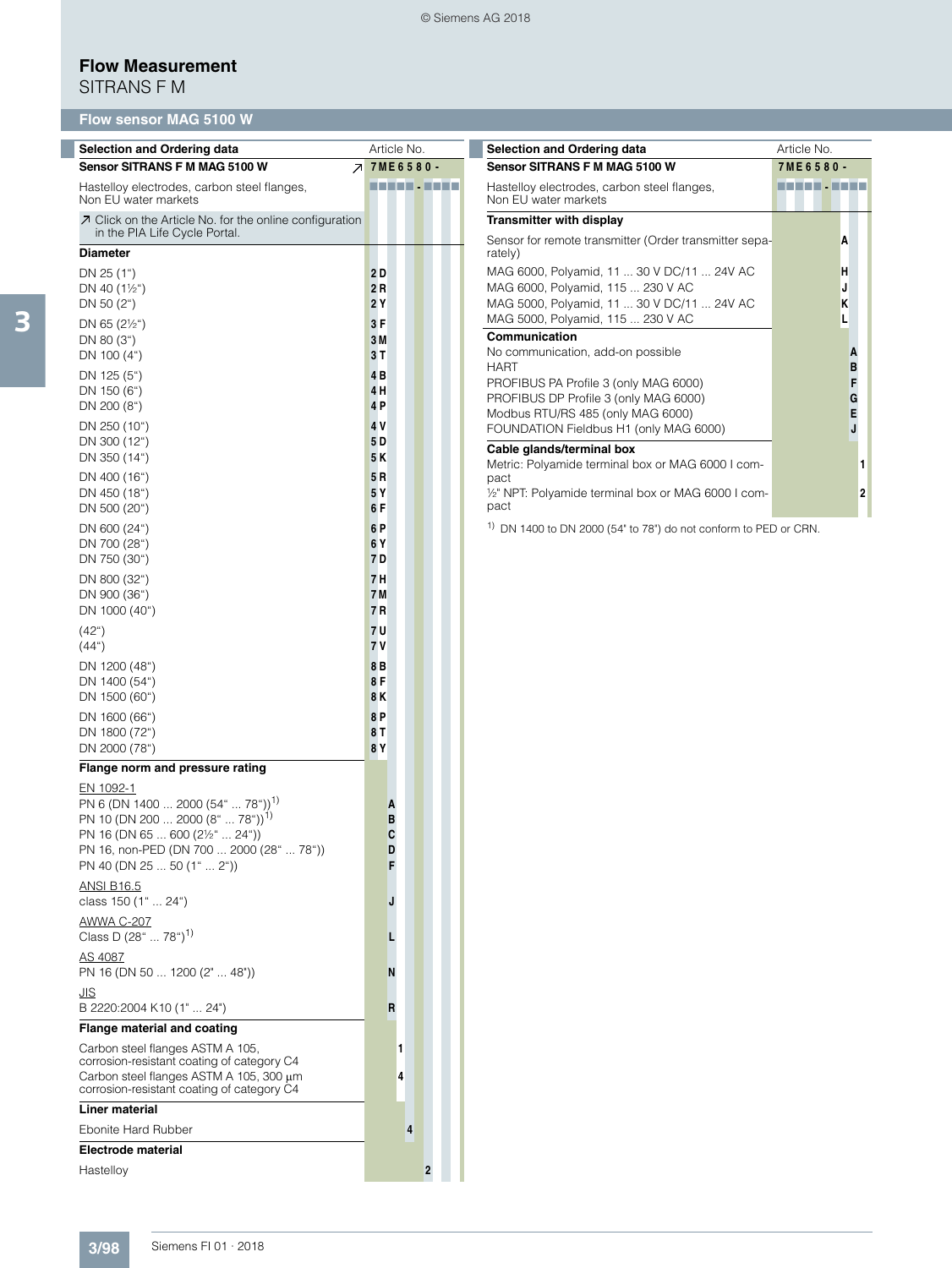## **Flow Measurement**

SITRANS F M

# **Flow sensor MAG 5100 W**

| <b>Selection and Ordering data</b>                                                                                                                                                                                                                                   | Article No.                | <b>Selection and Ordering data</b>                                                                                            | Article No.         |
|----------------------------------------------------------------------------------------------------------------------------------------------------------------------------------------------------------------------------------------------------------------------|----------------------------|-------------------------------------------------------------------------------------------------------------------------------|---------------------|
| Sensor SITRANS F M MAG 5100 W                                                                                                                                                                                                                                        | <b>7 7ME6580-</b>          | Sensor SITRANS F M MAG 5100 W                                                                                                 | 7ME6580-            |
| Hastelloy electrodes, carbon steel flanges,<br>Non EU water markets                                                                                                                                                                                                  | ----------                 | Hastelloy electrodes, carbon steel flanges,<br>Non EU water markets                                                           | <b>THEFT - ENER</b> |
| ○ Click on the Article No. for the online configuration                                                                                                                                                                                                              |                            | <b>Transmitter with display</b>                                                                                               |                     |
| in the PIA Life Cycle Portal.<br><b>Diameter</b>                                                                                                                                                                                                                     |                            | Sensor for remote transmitter (Order transmitter sepa-<br>rately)                                                             | Α                   |
| DN 25 (1")<br>DN 40 $(1\frac{1}{2})$<br>DN 50 $(2^{\circ})$                                                                                                                                                                                                          | 2D<br>2R<br>2 Y            | MAG 6000, Polyamid, 11  30 V DC/11  24V AC<br>MAG 6000, Polyamid, 115  230 V AC<br>MAG 5000, Polyamid, 11  30 V DC/11  24V AC | н<br>J<br>K         |
| DN 65 $(2\frac{1}{2})$<br>DN 80 (3")<br>DN 100 (4")                                                                                                                                                                                                                  | 3F<br>3 M<br>3T            | MAG 5000, Polyamid, 115  230 V AC<br>Communication<br>No communication, add-on possible<br><b>HART</b>                        | г<br>A<br>B         |
| DN 125 (5")<br>DN 150 (6")<br>DN 200 (8")                                                                                                                                                                                                                            | 4B<br>4H<br>4 P            | PROFIBUS PA Profile 3 (only MAG 6000)<br>PROFIBUS DP Profile 3 (only MAG 6000)<br>Modbus RTU/RS 485 (only MAG 6000)           | F<br>G<br>E         |
| DN 250 (10")<br>DN 300 (12")<br>DN 350 (14")                                                                                                                                                                                                                         | 4 V<br>5 D<br>5 K          | FOUNDATION Fieldbus H1 (only MAG 6000)<br>Cable glands/terminal box<br>Metric: Polyamide terminal box or MAG 6000 I com-      | J                   |
| DN 400 (16")<br>DN 450 (18")<br>DN 500 (20")                                                                                                                                                                                                                         | 5 R<br>5 Y<br>6 F          | pact<br>1/2" NPT: Polyamide terminal box or MAG 6000 I com-<br>pact                                                           | $\mathbf{2}$        |
| DN 600 (24")<br>DN 700 (28")<br>DN 750 (30")                                                                                                                                                                                                                         | 6 P<br>6Y<br>7 D           | <sup>1)</sup> DN 1400 to DN 2000 (54" to 78") do not conform to PED or CRN.                                                   |                     |
| DN 800 (32")<br>DN 900 (36")<br>DN 1000 (40")                                                                                                                                                                                                                        | 7H<br>7 M<br>7 R           |                                                                                                                               |                     |
| (42 <sup>°</sup> )<br>(44 <sup>°</sup> )                                                                                                                                                                                                                             | 7 U<br>7 V<br>8B           |                                                                                                                               |                     |
| DN 1200 (48")<br>DN 1400 (54")<br>DN 1500 (60")                                                                                                                                                                                                                      | 8F<br>8K                   |                                                                                                                               |                     |
| DN 1600 (66")<br>DN 1800 (72")<br>DN 2000 (78")                                                                                                                                                                                                                      | 8P<br>8 T<br>8Y            |                                                                                                                               |                     |
| Flange norm and pressure rating                                                                                                                                                                                                                                      |                            |                                                                                                                               |                     |
| EN 1092-1<br>PN 6 (DN 1400  2000 (54"  78")) <sup>1)</sup><br>PN 10 (DN 200  2000 (8"  78")) <sup>1)</sup><br>PN 16 (DN 65  600 (2½"  24"))<br>PN 16, non-PED (DN 700  2000 (28"<br>",78")<br>PN 40 (DN 25  50 (1"  2"))<br><b>ANSI B16.5</b><br>class 150 (1"  24") | A<br>B<br>C<br>D<br>F<br>J |                                                                                                                               |                     |
| AWWA C-207<br>Class D $(28^{\circ} \dots 78^{\circ})^{1}$                                                                                                                                                                                                            |                            |                                                                                                                               |                     |
| AS 4087<br>PN 16 (DN 50  1200 (2"  48"))<br><u>JIS</u>                                                                                                                                                                                                               | Ν                          |                                                                                                                               |                     |
| B 2220:2004 K10 (1"  24")                                                                                                                                                                                                                                            | R                          |                                                                                                                               |                     |
| Flange material and coating<br>Carbon steel flanges ASTM A 105,<br>corrosion-resistant coating of category C4<br>Carbon steel flanges ASTM A 105, 300 µm<br>corrosion-resistant coating of category C4                                                               | 1<br>4                     |                                                                                                                               |                     |
| <b>Liner material</b>                                                                                                                                                                                                                                                |                            |                                                                                                                               |                     |
| Ebonite Hard Rubber                                                                                                                                                                                                                                                  | $\overline{4}$             |                                                                                                                               |                     |
| <b>Electrode material</b>                                                                                                                                                                                                                                            |                            |                                                                                                                               |                     |
| Hastelloy                                                                                                                                                                                                                                                            | $\overline{\mathbf{2}}$    |                                                                                                                               |                     |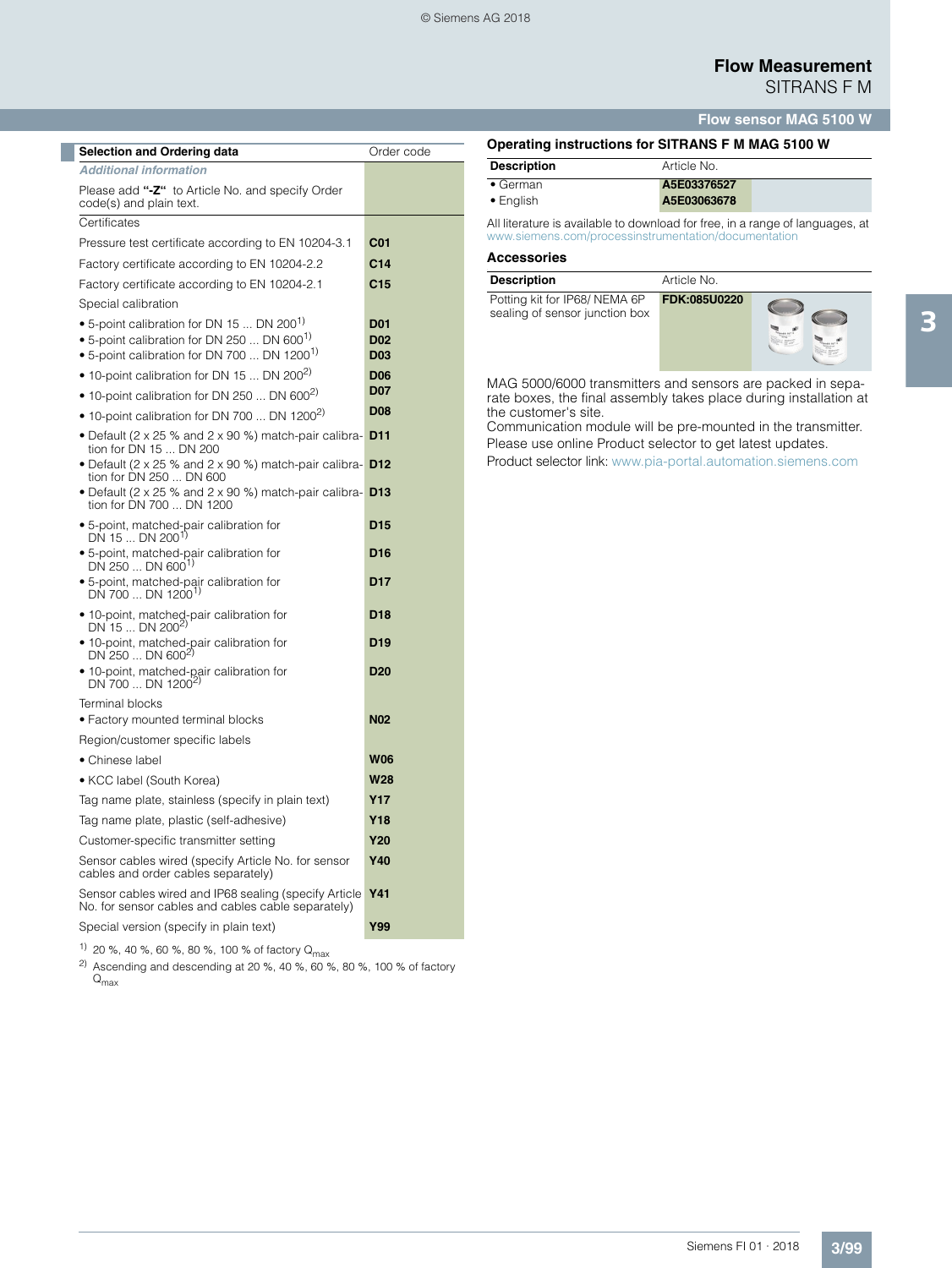## **Flow Measurement** SITRANS F M

**Flow sensor MAG 5100 W**

| Order code |
|------------|
|            |
|            |
|            |
|            |
|            |
|            |
|            |
|            |
|            |
|            |
|            |
|            |
|            |
|            |
|            |
|            |
|            |
|            |
|            |
|            |
|            |
|            |
|            |
|            |
|            |
|            |
|            |
|            |
|            |
|            |
|            |
|            |

**Description** Article No.

• German **A5E03376527** • English **A5E03063678**

**[Operating instructions for SITRANS F M M](http://www.siemens.com/processinstrumentation/documentation)AG 5100 W**

All literature is available to download for free, in a range of languages, at www.siemens.com/processinstrumentation/docume

#### **Accessories**

| <b>Description</b>                                             | Article No.  |  |
|----------------------------------------------------------------|--------------|--|
| Potting kit for IP68/NEMA 6P<br>sealing of sensor junction box | FDK:085U0220 |  |

MAG 5000/6000 transmitters and sensors are packed in separate boxes, the final assembly takes place during installation at the customer's site.

Communication module will be pre-mounted in the transmitter. Please use online Product selector to get latest updates. Product selector link: www.pia-portal.automation.siemens.com

1) 20 %, 40 %, 60 %, 80 %, 100 % of factory  $Q_{\text{max}}$ 

<sup>2)</sup> Ascending and descending at 20 %, 40 %, 60 %, 80 %, 100 % of factory  ${\mathsf Q}_{\mathsf{max}}$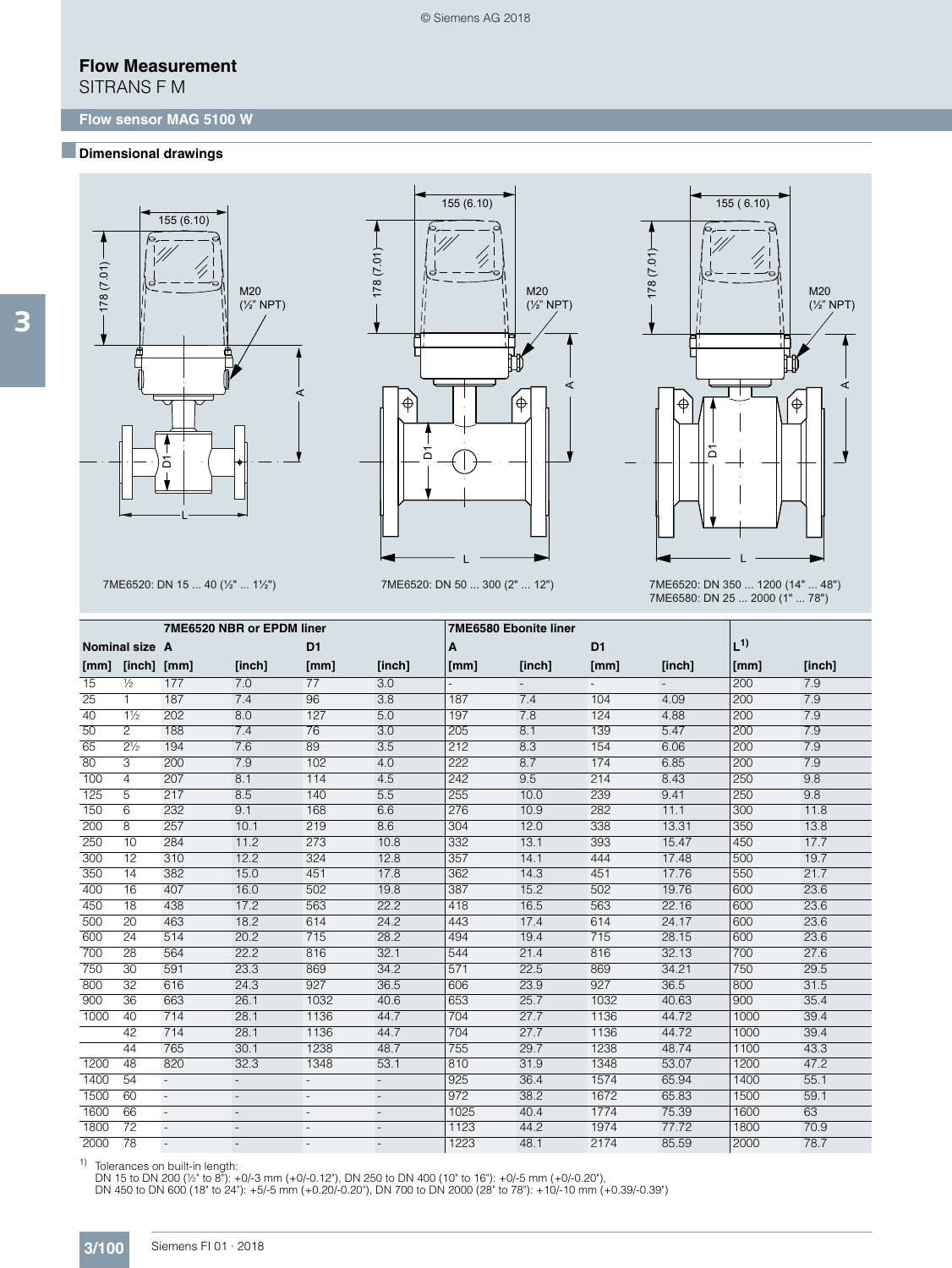SITRANS F M

### ■**Dimensional drawings**







7ME6520: DN 15 ... 40 (½" ... 1½") 7ME6520: DN 50 ... 300 (2" ... 12") 7ME6520: DN 350 ... 1200 (14" ... 48") 7ME6580: DN 25 ... 2000 (1" ... 78")

|      |                 |                          | 7ME6520 NBR or EPDM liner |                          |                          | <b>7ME6580 Ebonite liner</b> |        |                |        |         |        |
|------|-----------------|--------------------------|---------------------------|--------------------------|--------------------------|------------------------------|--------|----------------|--------|---------|--------|
|      | Nominal size A  |                          |                           | D1                       |                          | A                            |        | D <sub>1</sub> |        | $L^{1}$ |        |
| [mm] | [inch] [mm]     |                          | [inch]                    | [mm]                     | [inch]                   | [mm]                         | [inch] | [mm]           | [inch] | [mm]    | [inch] |
| 15   | $\frac{1}{2}$   | 177                      | 7.0                       | 77                       | $\overline{3.0}$         |                              |        |                |        | 200     | 7.9    |
| 25   | $\mathbf{1}$    | 187                      | 7.4                       | 96                       | 3.8                      | 187                          | 7.4    | 104            | 4.09   | 200     | 7.9    |
| 40   | $1\frac{1}{2}$  | 202                      | 8.0                       | 127                      | 5.0                      | 197                          | 7.8    | 124            | 4.88   | 200     | 7.9    |
| 50   | 2               | 188                      | 7.4                       | 76                       | 3.0                      | 205                          | 8.1    | 139            | 5.47   | 200     | 7.9    |
| 65   | $2\frac{1}{2}$  | 194                      | 7.6                       | 89                       | 3.5                      | 212                          | 8.3    | 154            | 6.06   | 200     | 7.9    |
| 80   | 3               | 200                      | 7.9                       | 102                      | 4.0                      | 222                          | 8.7    | 174            | 6.85   | 200     | 7.9    |
| 100  | 4               | 207                      | 8.1                       | 114                      | 4.5                      | 242                          | 9.5    | 214            | 8.43   | 250     | 9.8    |
| 125  | 5               | 217                      | 8.5                       | 140                      | 5.5                      | 255                          | 10.0   | 239            | 9.41   | 250     | 9.8    |
| 150  | 6               | 232                      | 9.1                       | 168                      | 6.6                      | 276                          | 10.9   | 282            | 11.1   | 300     | 11.8   |
| 200  | 8               | 257                      | 10.1                      | 219                      | 8.6                      | 304                          | 12.0   | 338            | 13.31  | 350     | 13.8   |
| 250  | 10              | 284                      | 11.2                      | 273                      | 10.8                     | 332                          | 13.1   | 393            | 15.47  | 450     | 17.7   |
| 300  | 12              | 310                      | 12.2                      | 324                      | 12.8                     | 357                          | 14.1   | 444            | 17.48  | 500     | 19.7   |
| 350  | 14              | 382                      | 15.0                      | 451                      | 17.8                     | 362                          | 14.3   | 451            | 17.76  | 550     | 21.7   |
| 400  | 16              | 407                      | 16.0                      | 502                      | 19.8                     | 387                          | 15.2   | 502            | 19.76  | 600     | 23.6   |
| 450  | 18              | 438                      | 17.2                      | 563                      | 22.2                     | 418                          | 16.5   | 563            | 22.16  | 600     | 23.6   |
| 500  | 20              | 463                      | 18.2                      | 614                      | 24.2                     | 443                          | 17.4   | 614            | 24.17  | 600     | 23.6   |
| 600  | 24              | 514                      | 20.2                      | 715                      | 28.2                     | 494                          | 19.4   | 715            | 28.15  | 600     | 23.6   |
| 700  | 28              | 564                      | 22.2                      | 816                      | 32.1                     | 544                          | 21.4   | 816            | 32.13  | 700     | 27.6   |
| 750  | 30              | 591                      | 23.3                      | 869                      | 34.2                     | 571                          | 22.5   | 869            | 34.21  | 750     | 29.5   |
| 800  | 32              | 616                      | 24.3                      | 927                      | 36.5                     | 606                          | 23.9   | 927            | 36.5   | 800     | 31.5   |
| 900  | $\overline{36}$ | 663                      | 26.1                      | 1032                     | 40.6                     | 653                          | 25.7   | 1032           | 40.63  | 900     | 35.4   |
| 1000 | 40              | 714                      | 28.1                      | 1136                     | 44.7                     | 704                          | 27.7   | 1136           | 44.72  | 1000    | 39.4   |
|      | 42              | 714                      | 28.1                      | 1136                     | 44.7                     | 704                          | 27.7   | 1136           | 44.72  | 1000    | 39.4   |
|      | 44              | 765                      | 30.1                      | 1238                     | 48.7                     | 755                          | 29.7   | 1238           | 48.74  | 1100    | 43.3   |
| 1200 | 48              | 820                      | 32.3                      | 1348                     | 53.1                     | 810                          | 31.9   | 1348           | 53.07  | 1200    | 47.2   |
| 1400 | 54              | $\overline{\phantom{a}}$ | $\overline{\phantom{a}}$  |                          | $\overline{\phantom{a}}$ | 925                          | 36.4   | 1574           | 65.94  | 1400    | 55.1   |
| 1500 | 60              | $\blacksquare$           | $\overline{\phantom{a}}$  | $\overline{\phantom{a}}$ |                          | 972                          | 38.2   | 1672           | 65.83  | 1500    | 59.1   |
| 1600 | 66              |                          |                           |                          |                          | 1025                         | 40.4   | 1774           | 75.39  | 1600    | 63     |
| 1800 | $\overline{72}$ |                          |                           | $\overline{a}$           |                          | 1123                         | 44.2   | 1974           | 77.72  | 1800    | 70.9   |
| 2000 | 78              |                          | $\overline{\phantom{a}}$  | $\overline{\phantom{a}}$ | $\overline{\phantom{a}}$ | 1223                         | 48.1   | 2174           | 85.59  | 2000    | 78.7   |

1) Tolerances on built-in length:<br>DN 15 to DN 200 (½" to 8"): +0/-3 mm (+0/-0.12"), DN 250 to DN 400 (10" to 16"): +0/-5 mm (+0/-0.20"),<br>DN 450 to DN 600 (18" to 24"): +5/-5 mm (+0.20/-0.20"), DN 700 to DN 2000 (28" to 78"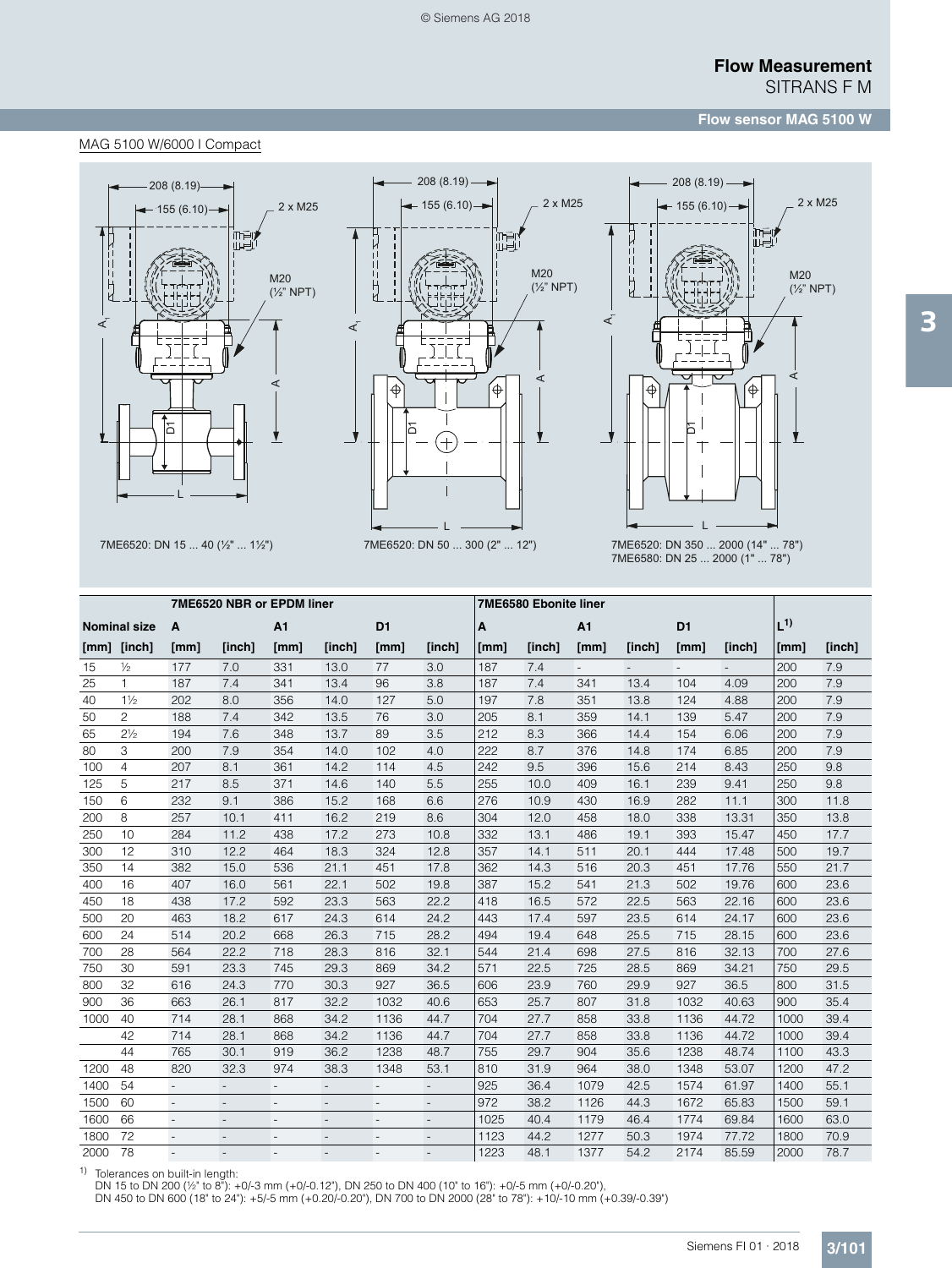## **Flow sensor MAG 5100 W**

#### MAG 5100 W/6000 I Compact







7ME6520: DN 15 ... 40 (½" ... 1½") 7ME6520: DN 50 ... 300 (2" ... 12") 7ME6520: DN 350 ... 2000 (14" ... 78") 7ME6580: DN 25 ... 2000 (1" ... 78")

|      | 7ME6520 NBR or EPDM liner |        |                          |                          |                          |                          |                          | 7ME6580 Ebonite liner |        |                          |        |                |        |         |        |
|------|---------------------------|--------|--------------------------|--------------------------|--------------------------|--------------------------|--------------------------|-----------------------|--------|--------------------------|--------|----------------|--------|---------|--------|
|      | <b>Nominal size</b>       | A      |                          | A <sub>1</sub>           |                          | D <sub>1</sub>           |                          | A                     |        | A1                       |        | D <sub>1</sub> |        | $L^{1}$ |        |
|      | [mm] [inch]               | [mm]   | [inch]                   | [mm]                     | [inch]                   | [mm]                     | [inch]                   | [mm]                  | [inch] | [mm]                     | [inch] | [mm]           | [inch] | [mm]    | [inch] |
| 15   | $\frac{1}{2}$             | 177    | 7.0                      | 331                      | 13.0                     | 77                       | 3.0                      | 187                   | 7.4    | $\overline{\phantom{a}}$ |        |                |        | 200     | 7.9    |
| 25   | $\mathbf{1}$              | 187    | 7.4                      | 341                      | 13.4                     | 96                       | 3.8                      | 187                   | 7.4    | 341                      | 13.4   | 104            | 4.09   | 200     | 7.9    |
| 40   | $1\frac{1}{2}$            | 202    | 8.0                      | 356                      | 14.0                     | 127                      | 5.0                      | 197                   | 7.8    | 351                      | 13.8   | 124            | 4.88   | 200     | 7.9    |
| 50   | $\overline{c}$            | 188    | 7.4                      | 342                      | 13.5                     | 76                       | 3.0                      | 205                   | 8.1    | 359                      | 14.1   | 139            | 5.47   | 200     | 7.9    |
| 65   | $2\frac{1}{2}$            | 194    | 7.6                      | 348                      | 13.7                     | 89                       | 3.5                      | 212                   | 8.3    | 366                      | 14.4   | 154            | 6.06   | 200     | 7.9    |
| 80   | 3                         | 200    | 7.9                      | 354                      | 14.0                     | 102                      | 4.0                      | 222                   | 8.7    | 376                      | 14.8   | 174            | 6.85   | 200     | 7.9    |
| 100  | $\overline{4}$            | 207    | 8.1                      | 361                      | 14.2                     | 114                      | 4.5                      | 242                   | 9.5    | 396                      | 15.6   | 214            | 8.43   | 250     | 9.8    |
| 125  | 5                         | 217    | 8.5                      | 371                      | 14.6                     | 140                      | 5.5                      | 255                   | 10.0   | 409                      | 16.1   | 239            | 9.41   | 250     | 9.8    |
| 150  | 6                         | 232    | 9.1                      | 386                      | 15.2                     | 168                      | 6.6                      | 276                   | 10.9   | 430                      | 16.9   | 282            | 11.1   | 300     | 11.8   |
| 200  | 8                         | 257    | 10.1                     | 411                      | 16.2                     | 219                      | 8.6                      | 304                   | 12.0   | 458                      | 18.0   | 338            | 13.31  | 350     | 13.8   |
| 250  | 10                        | 284    | 11.2                     | 438                      | 17.2                     | 273                      | 10.8                     | 332                   | 13.1   | 486                      | 19.1   | 393            | 15.47  | 450     | 17.7   |
| 300  | 12                        | 310    | 12.2                     | 464                      | 18.3                     | 324                      | 12.8                     | 357                   | 14.1   | 511                      | 20.1   | 444            | 17.48  | 500     | 19.7   |
| 350  | 14                        | 382    | 15.0                     | 536                      | 21.1                     | 451                      | 17.8                     | 362                   | 14.3   | 516                      | 20.3   | 451            | 17.76  | 550     | 21.7   |
| 400  | 16                        | 407    | 16.0                     | 561                      | 22.1                     | 502                      | 19.8                     | 387                   | 15.2   | 541                      | 21.3   | 502            | 19.76  | 600     | 23.6   |
| 450  | 18                        | 438    | 17.2                     | 592                      | 23.3                     | 563                      | 22.2                     | 418                   | 16.5   | 572                      | 22.5   | 563            | 22.16  | 600     | 23.6   |
| 500  | 20                        | 463    | 18.2                     | 617                      | 24.3                     | 614                      | 24.2                     | 443                   | 17.4   | 597                      | 23.5   | 614            | 24.17  | 600     | 23.6   |
| 600  | 24                        | 514    | 20.2                     | 668                      | 26.3                     | 715                      | 28.2                     | 494                   | 19.4   | 648                      | 25.5   | 715            | 28.15  | 600     | 23.6   |
| 700  | 28                        | 564    | 22.2                     | 718                      | 28.3                     | 816                      | 32.1                     | 544                   | 21.4   | 698                      | 27.5   | 816            | 32.13  | 700     | 27.6   |
| 750  | 30                        | 591    | 23.3                     | 745                      | 29.3                     | 869                      | 34.2                     | 571                   | 22.5   | 725                      | 28.5   | 869            | 34.21  | 750     | 29.5   |
| 800  | 32                        | 616    | 24.3                     | 770                      | 30.3                     | 927                      | 36.5                     | 606                   | 23.9   | 760                      | 29.9   | 927            | 36.5   | 800     | 31.5   |
| 900  | 36                        | 663    | 26.1                     | 817                      | 32.2                     | 1032                     | 40.6                     | 653                   | 25.7   | 807                      | 31.8   | 1032           | 40.63  | 900     | 35.4   |
| 1000 | 40                        | 714    | 28.1                     | 868                      | 34.2                     | 1136                     | 44.7                     | 704                   | 27.7   | 858                      | 33.8   | 1136           | 44.72  | 1000    | 39.4   |
|      | 42                        | 714    | 28.1                     | 868                      | 34.2                     | 1136                     | 44.7                     | 704                   | 27.7   | 858                      | 33.8   | 1136           | 44.72  | 1000    | 39.4   |
|      | 44                        | 765    | 30.1                     | 919                      | 36.2                     | 1238                     | 48.7                     | 755                   | 29.7   | 904                      | 35.6   | 1238           | 48.74  | 1100    | 43.3   |
| 1200 | 48                        | 820    | 32.3                     | 974                      | 38.3                     | 1348                     | 53.1                     | 810                   | 31.9   | 964                      | 38.0   | 1348           | 53.07  | 1200    | 47.2   |
| 1400 | 54                        |        | $\overline{\phantom{m}}$ | $\overline{a}$           | $\overline{\phantom{a}}$ |                          | $\overline{\phantom{a}}$ | 925                   | 36.4   | 1079                     | 42.5   | 1574           | 61.97  | 1400    | 55.1   |
| 1500 | 60                        | $\sim$ | $\overline{\phantom{a}}$ | $\overline{\phantom{a}}$ | $\overline{\phantom{a}}$ | $\overline{\phantom{a}}$ | $\overline{\phantom{a}}$ | 972                   | 38.2   | 1126                     | 44.3   | 1672           | 65.83  | 1500    | 59.1   |
| 1600 | 66                        | $\sim$ |                          | ÷                        |                          |                          | $\overline{\phantom{a}}$ | 1025                  | 40.4   | 1179                     | 46.4   | 1774           | 69.84  | 1600    | 63.0   |
| 1800 | 72                        |        |                          |                          |                          |                          |                          | 1123                  | 44.2   | 1277                     | 50.3   | 1974           | 77.72  | 1800    | 70.9   |
| 2000 | 78                        |        | $\overline{\phantom{a}}$ | $\overline{a}$           |                          |                          |                          | 1223                  | 48.1   | 1377                     | 54.2   | 2174           | 85.59  | 2000    | 78.7   |

1) Tolerances on built-in length:<br>DN 15 to DN 200 (½" to 8"): +0/-3 mm (+0/-0.12"), DN 250 to DN 400 (10" to 16"): +0/-5 mm (+0/-0.20"),<br>DN 450 to DN 600 (18" to 24"): +5/-5 mm (+0.20/-0.20"), DN 700 to DN 2000 (28" to 78"